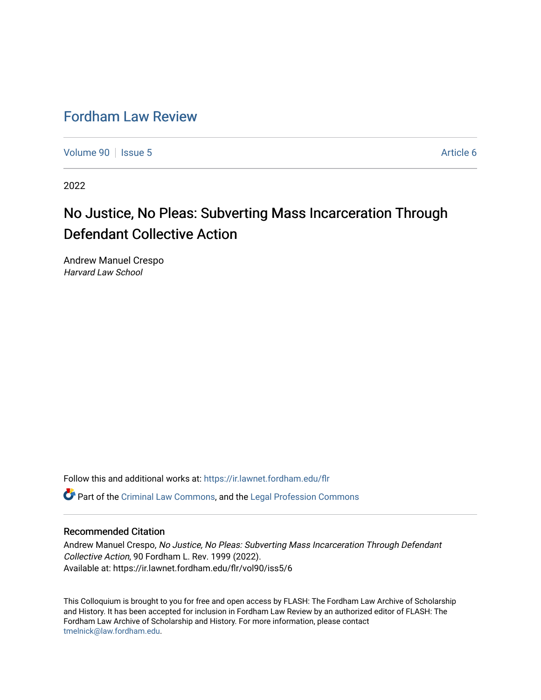## [Fordham Law Review](https://ir.lawnet.fordham.edu/flr)

[Volume 90](https://ir.lawnet.fordham.edu/flr/vol90) | [Issue 5](https://ir.lawnet.fordham.edu/flr/vol90/iss5) Article 6

2022

# No Justice, No Pleas: Subverting Mass Incarceration Through Defendant Collective Action

Andrew Manuel Crespo Harvard Law School

Follow this and additional works at: [https://ir.lawnet.fordham.edu/flr](https://ir.lawnet.fordham.edu/flr?utm_source=ir.lawnet.fordham.edu%2Fflr%2Fvol90%2Fiss5%2F6&utm_medium=PDF&utm_campaign=PDFCoverPages)

Part of the [Criminal Law Commons,](http://network.bepress.com/hgg/discipline/912?utm_source=ir.lawnet.fordham.edu%2Fflr%2Fvol90%2Fiss5%2F6&utm_medium=PDF&utm_campaign=PDFCoverPages) and the [Legal Profession Commons](http://network.bepress.com/hgg/discipline/1075?utm_source=ir.lawnet.fordham.edu%2Fflr%2Fvol90%2Fiss5%2F6&utm_medium=PDF&utm_campaign=PDFCoverPages) 

### Recommended Citation

Andrew Manuel Crespo, No Justice, No Pleas: Subverting Mass Incarceration Through Defendant Collective Action, 90 Fordham L. Rev. 1999 (2022). Available at: https://ir.lawnet.fordham.edu/flr/vol90/iss5/6

This Colloquium is brought to you for free and open access by FLASH: The Fordham Law Archive of Scholarship and History. It has been accepted for inclusion in Fordham Law Review by an authorized editor of FLASH: The Fordham Law Archive of Scholarship and History. For more information, please contact [tmelnick@law.fordham.edu](mailto:tmelnick@law.fordham.edu).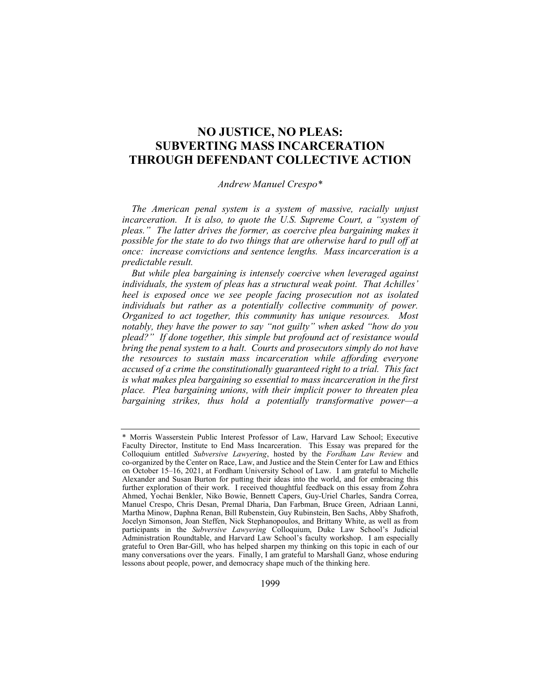## NO JUSTICE, NO PLEAS: SUBVERTING MASS INCARCERATION THROUGH DEFENDANT COLLECTIVE ACTION

#### Andrew Manuel Crespo\*

The American penal system is a system of massive, racially unjust incarceration. It is also, to quote the U.S. Supreme Court, a "system of pleas." The latter drives the former, as coercive plea bargaining makes it possible for the state to do two things that are otherwise hard to pull off at once: increase convictions and sentence lengths. Mass incarceration is a predictable result.

But while plea bargaining is intensely coercive when leveraged against individuals, the system of pleas has a structural weak point. That Achilles' heel is exposed once we see people facing prosecution not as isolated individuals but rather as a potentially collective community of power. Organized to act together, this community has unique resources. Most notably, they have the power to say "not guilty" when asked "how do you plead?" If done together, this simple but profound act of resistance would bring the penal system to a halt. Courts and prosecutors simply do not have the resources to sustain mass incarceration while affording everyone accused of a crime the constitutionally guaranteed right to a trial. This fact is what makes plea bargaining so essential to mass incarceration in the first place. Plea bargaining unions, with their implicit power to threaten plea bargaining strikes, thus hold a potentially transformative power—a

<sup>\*</sup> Morris Wasserstein Public Interest Professor of Law, Harvard Law School; Executive Faculty Director, Institute to End Mass Incarceration. This Essay was prepared for the Colloquium entitled Subversive Lawyering, hosted by the Fordham Law Review and co-organized by the Center on Race, Law, and Justice and the Stein Center for Law and Ethics on October 15–16, 2021, at Fordham University School of Law. I am grateful to Michelle Alexander and Susan Burton for putting their ideas into the world, and for embracing this further exploration of their work. I received thoughtful feedback on this essay from Zohra Ahmed, Yochai Benkler, Niko Bowie, Bennett Capers, Guy-Uriel Charles, Sandra Correa, Manuel Crespo, Chris Desan, Premal Dharia, Dan Farbman, Bruce Green, Adriaan Lanni, Martha Minow, Daphna Renan, Bill Rubenstein, Guy Rubinstein, Ben Sachs, Abby Shafroth, Jocelyn Simonson, Joan Steffen, Nick Stephanopoulos, and Brittany White, as well as from participants in the Subversive Lawyering Colloquium, Duke Law School's Judicial Administration Roundtable, and Harvard Law School's faculty workshop. I am especially grateful to Oren Bar-Gill, who has helped sharpen my thinking on this topic in each of our many conversations over the years. Finally, I am grateful to Marshall Ganz, whose enduring lessons about people, power, and democracy shape much of the thinking here.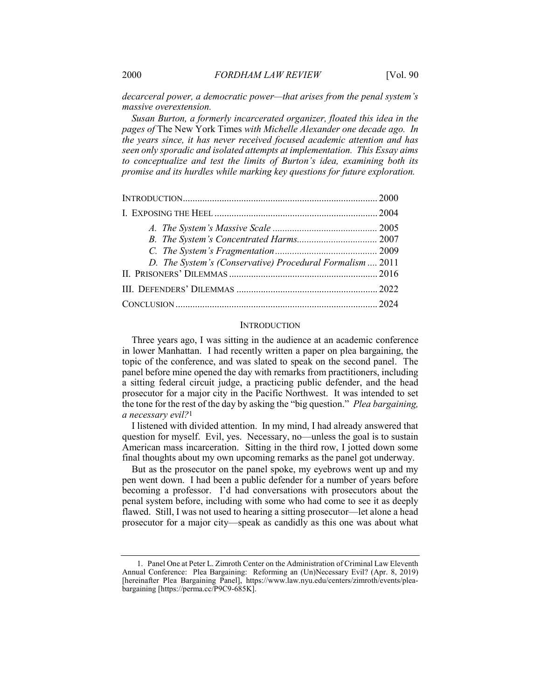decarceral power, a democratic power—that arises from the penal system's massive overextension.

Susan Burton, a formerly incarcerated organizer, floated this idea in the pages of The New York Times with Michelle Alexander one decade ago. In the years since, it has never received focused academic attention and has seen only sporadic and isolated attempts at implementation. This Essay aims to conceptualize and test the limits of Burton's idea, examining both its promise and its hurdles while marking key questions for future exploration.

| D. The System's (Conservative) Procedural Formalism  2011 |  |
|-----------------------------------------------------------|--|
|                                                           |  |
|                                                           |  |
|                                                           |  |

#### **INTRODUCTION**

Three years ago, I was sitting in the audience at an academic conference in lower Manhattan. I had recently written a paper on plea bargaining, the topic of the conference, and was slated to speak on the second panel. The panel before mine opened the day with remarks from practitioners, including a sitting federal circuit judge, a practicing public defender, and the head prosecutor for a major city in the Pacific Northwest. It was intended to set the tone for the rest of the day by asking the "big question." Plea bargaining, a necessary evil?1

I listened with divided attention. In my mind, I had already answered that question for myself. Evil, yes. Necessary, no—unless the goal is to sustain American mass incarceration. Sitting in the third row, I jotted down some final thoughts about my own upcoming remarks as the panel got underway.

But as the prosecutor on the panel spoke, my eyebrows went up and my pen went down. I had been a public defender for a number of years before becoming a professor. I'd had conversations with prosecutors about the penal system before, including with some who had come to see it as deeply flawed. Still, I was not used to hearing a sitting prosecutor—let alone a head prosecutor for a major city—speak as candidly as this one was about what

 <sup>1.</sup> Panel One at Peter L. Zimroth Center on the Administration of Criminal Law Eleventh Annual Conference: Plea Bargaining: Reforming an (Un)Necessary Evil? (Apr. 8, 2019) [hereinafter Plea Bargaining Panel], https://www.law.nyu.edu/centers/zimroth/events/pleabargaining [https://perma.cc/P9C9-685K].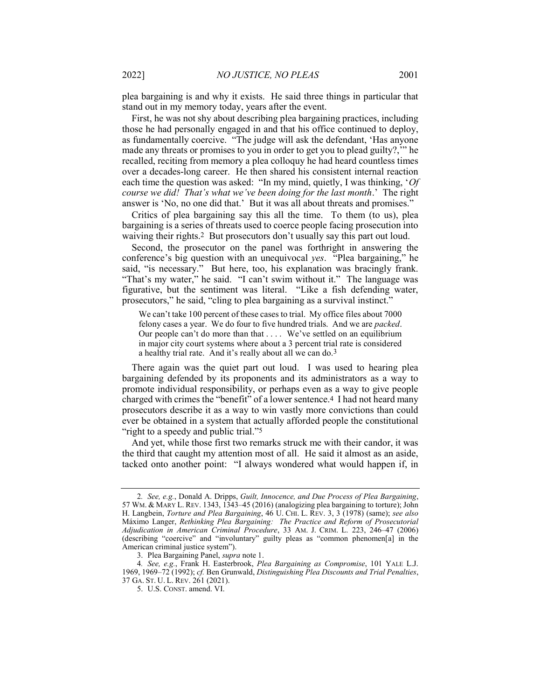plea bargaining is and why it exists. He said three things in particular that stand out in my memory today, years after the event.

First, he was not shy about describing plea bargaining practices, including those he had personally engaged in and that his office continued to deploy, as fundamentally coercive. "The judge will ask the defendant, 'Has anyone made any threats or promises to you in order to get you to plead guilty?,'" he recalled, reciting from memory a plea colloquy he had heard countless times over a decades-long career. He then shared his consistent internal reaction each time the question was asked: "In my mind, quietly, I was thinking, 'Of course we did! That's what we've been doing for the last month.' The right answer is 'No, no one did that.' But it was all about threats and promises."

Critics of plea bargaining say this all the time. To them (to us), plea bargaining is a series of threats used to coerce people facing prosecution into waiving their rights.<sup>2</sup> But prosecutors don't usually say this part out loud.

Second, the prosecutor on the panel was forthright in answering the conference's big question with an unequivocal yes. "Plea bargaining," he said, "is necessary." But here, too, his explanation was bracingly frank. "That's my water," he said. "I can't swim without it." The language was figurative, but the sentiment was literal. "Like a fish defending water, prosecutors," he said, "cling to plea bargaining as a survival instinct."

We can't take 100 percent of these cases to trial. My office files about 7000 felony cases a year. We do four to five hundred trials. And we are packed. Our people can't do more than that . . . . We've settled on an equilibrium in major city court systems where about a 3 percent trial rate is considered a healthy trial rate. And it's really about all we can do.3

There again was the quiet part out loud. I was used to hearing plea bargaining defended by its proponents and its administrators as a way to promote individual responsibility, or perhaps even as a way to give people charged with crimes the "benefit" of a lower sentence.4 I had not heard many prosecutors describe it as a way to win vastly more convictions than could ever be obtained in a system that actually afforded people the constitutional "right to a speedy and public trial."<sup>5</sup>

And yet, while those first two remarks struck me with their candor, it was the third that caught my attention most of all. He said it almost as an aside, tacked onto another point: "I always wondered what would happen if, in

<sup>2</sup>. See, e.g., Donald A. Dripps, Guilt, Innocence, and Due Process of Plea Bargaining, 57 WM. & MARY L. REV. 1343, 1343–45 (2016) (analogizing plea bargaining to torture); John H. Langbein, *Torture and Plea Bargaining*, 46 U. CHI. L. REV. 3, 3 (1978) (same); see also Máximo Langer, Rethinking Plea Bargaining: The Practice and Reform of Prosecutorial Adjudication in American Criminal Procedure, 33 AM. J. CRIM. L. 223, 246–47 (2006) (describing "coercive" and "involuntary" guilty pleas as "common phenomen[a] in the American criminal justice system").

 <sup>3.</sup> Plea Bargaining Panel, supra note 1.

<sup>4</sup>. See, e.g., Frank H. Easterbrook, Plea Bargaining as Compromise, 101 YALE L.J. 1969, 1969–72 (1992); cf. Ben Grunwald, Distinguishing Plea Discounts and Trial Penalties, 37 GA. ST. U. L. REV. 261 (2021).

 <sup>5.</sup> U.S. CONST. amend. VI.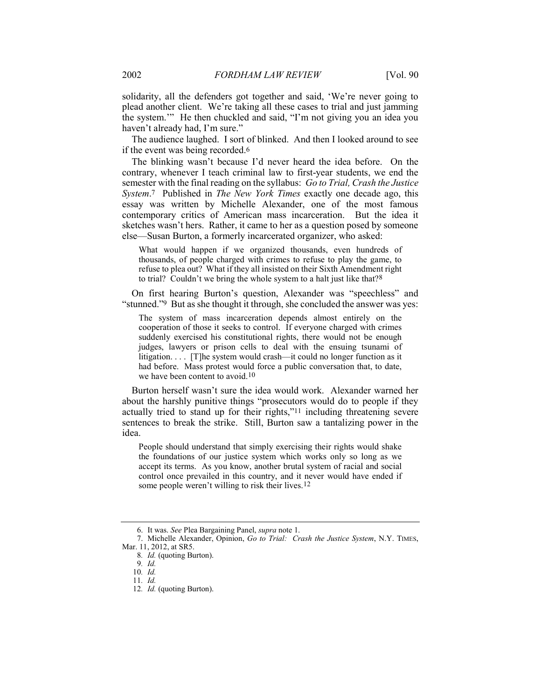solidarity, all the defenders got together and said, 'We're never going to plead another client. We're taking all these cases to trial and just jamming the system.'" He then chuckled and said, "I'm not giving you an idea you haven't already had, I'm sure."

The audience laughed. I sort of blinked. And then I looked around to see if the event was being recorded.6

The blinking wasn't because I'd never heard the idea before. On the contrary, whenever I teach criminal law to first-year students, we end the semester with the final reading on the syllabus: Go to Trial, Crash the Justice System.<sup>7</sup> Published in *The New York Times* exactly one decade ago, this essay was written by Michelle Alexander, one of the most famous contemporary critics of American mass incarceration. But the idea it sketches wasn't hers. Rather, it came to her as a question posed by someone else—Susan Burton, a formerly incarcerated organizer, who asked:

What would happen if we organized thousands, even hundreds of thousands, of people charged with crimes to refuse to play the game, to refuse to plea out? What if they all insisted on their Sixth Amendment right to trial? Couldn't we bring the whole system to a halt just like that?8

On first hearing Burton's question, Alexander was "speechless" and "stunned."9 But as she thought it through, she concluded the answer was yes:

The system of mass incarceration depends almost entirely on the cooperation of those it seeks to control. If everyone charged with crimes suddenly exercised his constitutional rights, there would not be enough judges, lawyers or prison cells to deal with the ensuing tsunami of litigation. . . . [T]he system would crash—it could no longer function as it had before. Mass protest would force a public conversation that, to date, we have been content to avoid.10

Burton herself wasn't sure the idea would work. Alexander warned her about the harshly punitive things "prosecutors would do to people if they actually tried to stand up for their rights,"11 including threatening severe sentences to break the strike. Still, Burton saw a tantalizing power in the idea.

People should understand that simply exercising their rights would shake the foundations of our justice system which works only so long as we accept its terms. As you know, another brutal system of racial and social control once prevailed in this country, and it never would have ended if some people weren't willing to risk their lives.<sup>12</sup>

 <sup>6.</sup> It was. See Plea Bargaining Panel, supra note 1.

<sup>7.</sup> Michelle Alexander, Opinion, Go to Trial: Crash the Justice System, N.Y. TIMES, Mar. 11, 2012, at SR5.

<sup>8</sup>. Id. (quoting Burton).

<sup>9</sup>. Id.

<sup>10</sup>. Id.

<sup>11</sup>. Id.

<sup>12</sup>. Id. (quoting Burton).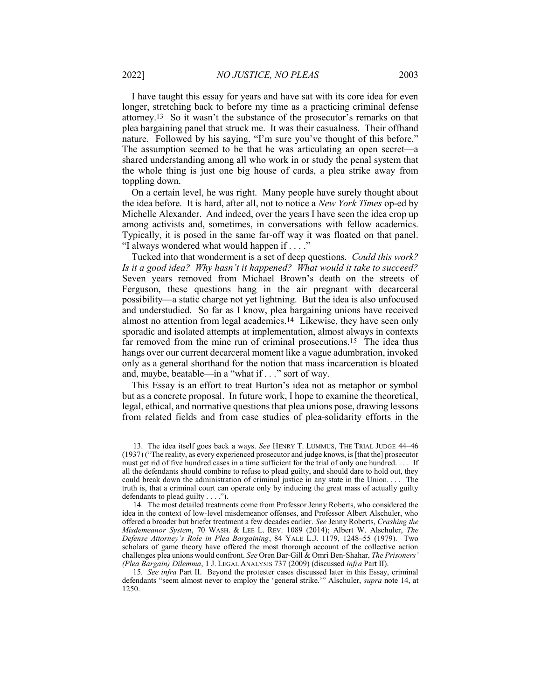I have taught this essay for years and have sat with its core idea for even longer, stretching back to before my time as a practicing criminal defense attorney.13 So it wasn't the substance of the prosecutor's remarks on that plea bargaining panel that struck me. It was their casualness. Their offhand nature. Followed by his saying, "I'm sure you've thought of this before." The assumption seemed to be that he was articulating an open secret—a shared understanding among all who work in or study the penal system that the whole thing is just one big house of cards, a plea strike away from toppling down.

On a certain level, he was right. Many people have surely thought about the idea before. It is hard, after all, not to notice a New York Times op-ed by Michelle Alexander. And indeed, over the years I have seen the idea crop up among activists and, sometimes, in conversations with fellow academics. Typically, it is posed in the same far-off way it was floated on that panel. "I always wondered what would happen if . . . ."

Tucked into that wonderment is a set of deep questions. Could this work? Is it a good idea? Why hasn't it happened? What would it take to succeed? Seven years removed from Michael Brown's death on the streets of Ferguson, these questions hang in the air pregnant with decarceral possibility—a static charge not yet lightning. But the idea is also unfocused and understudied. So far as I know, plea bargaining unions have received almost no attention from legal academics.14 Likewise, they have seen only sporadic and isolated attempts at implementation, almost always in contexts far removed from the mine run of criminal prosecutions.15 The idea thus hangs over our current decarceral moment like a vague adumbration, invoked only as a general shorthand for the notion that mass incarceration is bloated and, maybe, beatable—in a "what if . . ." sort of way.

This Essay is an effort to treat Burton's idea not as metaphor or symbol but as a concrete proposal. In future work, I hope to examine the theoretical, legal, ethical, and normative questions that plea unions pose, drawing lessons from related fields and from case studies of plea-solidarity efforts in the

 <sup>13.</sup> The idea itself goes back a ways. See HENRY T. LUMMUS, THE TRIAL JUDGE 44–46 (1937) ("The reality, as every experienced prosecutor and judge knows, is [that the] prosecutor must get rid of five hundred cases in a time sufficient for the trial of only one hundred. . . . If all the defendants should combine to refuse to plead guilty, and should dare to hold out, they could break down the administration of criminal justice in any state in the Union. . . . The truth is, that a criminal court can operate only by inducing the great mass of actually guilty defendants to plead guilty . . . .").

 <sup>14.</sup> The most detailed treatments come from Professor Jenny Roberts, who considered the idea in the context of low-level misdemeanor offenses, and Professor Albert Alschuler, who offered a broader but briefer treatment a few decades earlier. See Jenny Roberts, Crashing the Misdemeanor System, 70 WASH. & LEE L. REV. 1089 (2014); Albert W. Alschuler, The Defense Attorney's Role in Plea Bargaining, 84 YALE L.J. 1179, 1248–55 (1979). Two scholars of game theory have offered the most thorough account of the collective action challenges plea unions would confront. See Oren Bar-Gill & Omri Ben-Shahar, The Prisoners' (Plea Bargain) Dilemma, 1 J. LEGAL ANALYSIS 737 (2009) (discussed infra Part II).

<sup>15</sup>. See infra Part II. Beyond the protester cases discussed later in this Essay, criminal defendants "seem almost never to employ the 'general strike.'" Alschuler, supra note 14, at 1250.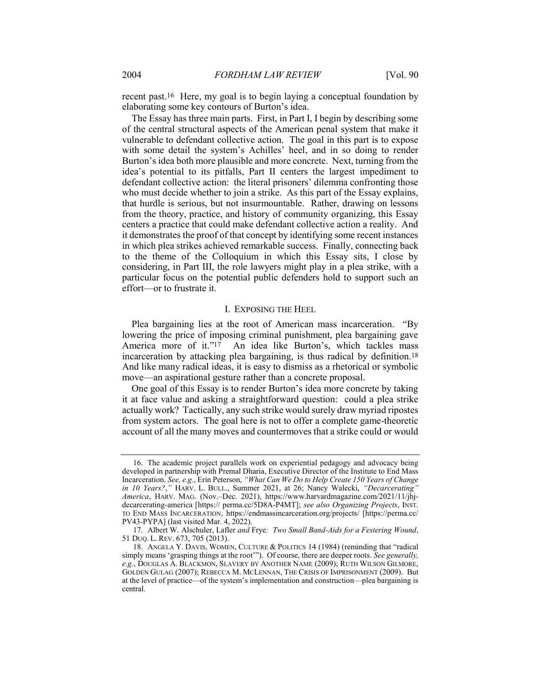recent past.16 Here, my goal is to begin laying a conceptual foundation by elaborating some key contours of Burton's idea.

The Essay has three main parts. First, in Part I, I begin by describing some of the central structural aspects of the American penal system that make it vulnerable to defendant collective action. The goal in this part is to expose with some detail the system's Achilles' heel, and in so doing to render Burton's idea both more plausible and more concrete. Next, turning from the idea's potential to its pitfalls, Part II centers the largest impediment to defendant collective action: the literal prisoners' dilemma confronting those who must decide whether to join a strike. As this part of the Essay explains, that hurdle is serious, but not insurmountable. Rather, drawing on lessons from the theory, practice, and history of community organizing, this Essay centers a practice that could make defendant collective action a reality. And it demonstrates the proof of that concept by identifying some recent instances in which plea strikes achieved remarkable success. Finally, connecting back to the theme of the Colloquium in which this Essay sits, I close by considering, in Part III, the role lawyers might play in a plea strike, with a particular focus on the potential public defenders hold to support such an effort—or to frustrate it.

#### I. EXPOSING THE HEEL

Plea bargaining lies at the root of American mass incarceration. "By lowering the price of imposing criminal punishment, plea bargaining gave America more of it."<sup>17</sup> An idea like Burton's, which tackles mass incarceration by attacking plea bargaining, is thus radical by definition.18 And like many radical ideas, it is easy to dismiss as a rhetorical or symbolic move—an aspirational gesture rather than a concrete proposal.

One goal of this Essay is to render Burton's idea more concrete by taking it at face value and asking a straightforward question: could a plea strike actually work? Tactically, any such strike would surely draw myriad ripostes from system actors. The goal here is not to offer a complete game-theoretic account of all the many moves and countermoves that a strike could or would

 <sup>16.</sup> The academic project parallels work on experiential pedagogy and advocacy being developed in partnership with Premal Dharia, Executive Director of the Institute to End Mass Incarceration. See, e.g., Erin Peterson, "What Can We Do to Help Create 150 Years of Change in 10 Years?," HARV. L. BULL., Summer 2021, at 26; Nancy Walecki, "Decarcerating" America, HARV. MAG. (Nov.–Dec. 2021), https://www.harvardmagazine.com/2021/11/jhjdecarcerating-america [https:// perma.cc/5D8A-P4MT]; see also Organizing Projects, INST. TO END MASS INCARCERATION, https://endmassincarceration.org/projects/ [https://perma.cc/ PV43-PYPA] (last visited Mar. 4, 2022).

<sup>17.</sup> Albert W. Alschuler, Lafler and Frye: Two Small Band-Aids for a Festering Wound, 51 DUQ. L. REV. 673, 705 (2013).

 <sup>18.</sup> ANGELA Y. DAVIS, WOMEN, CULTURE & POLITICS 14 (1984) (reminding that "radical simply means 'grasping things at the root'"). Of course, there are deeper roots. See generally, e.g., DOUGLAS A. BLACKMON, SLAVERY BY ANOTHER NAME (2009); RUTH WILSON GILMORE, GOLDEN GULAG (2007); REBECCA M. MCLENNAN, THE CRISIS OF IMPRISONMENT (2009). But at the level of practice—of the system's implementation and construction—plea bargaining is central.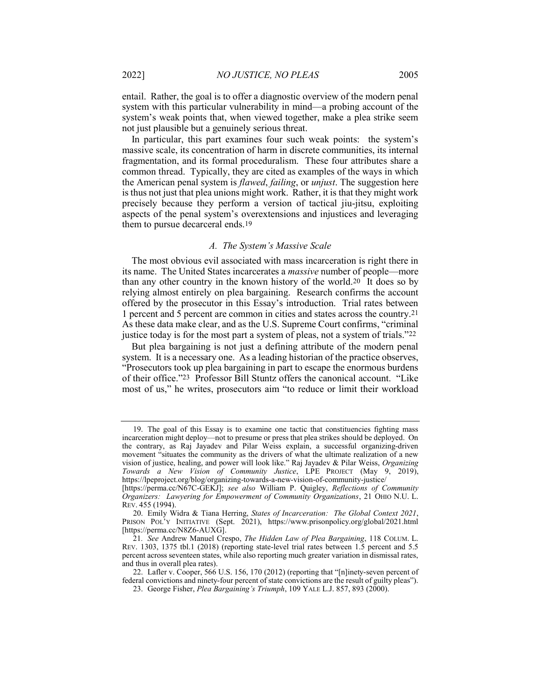entail. Rather, the goal is to offer a diagnostic overview of the modern penal system with this particular vulnerability in mind—a probing account of the system's weak points that, when viewed together, make a plea strike seem not just plausible but a genuinely serious threat.

In particular, this part examines four such weak points: the system's massive scale, its concentration of harm in discrete communities, its internal fragmentation, and its formal proceduralism. These four attributes share a common thread. Typically, they are cited as examples of the ways in which the American penal system is *flawed*, *failing*, or *unjust*. The suggestion here is thus not just that plea unions might work. Rather, it is that they might work precisely because they perform a version of tactical jiu-jitsu, exploiting aspects of the penal system's overextensions and injustices and leveraging them to pursue decarceral ends.19

#### A. The System's Massive Scale

The most obvious evil associated with mass incarceration is right there in its name. The United States incarcerates a massive number of people—more than any other country in the known history of the world.20 It does so by relying almost entirely on plea bargaining. Research confirms the account offered by the prosecutor in this Essay's introduction. Trial rates between 1 percent and 5 percent are common in cities and states across the country.21 As these data make clear, and as the U.S. Supreme Court confirms, "criminal justice today is for the most part a system of pleas, not a system of trials."22

But plea bargaining is not just a defining attribute of the modern penal system. It is a necessary one. As a leading historian of the practice observes, "Prosecutors took up plea bargaining in part to escape the enormous burdens of their office."23 Professor Bill Stuntz offers the canonical account. "Like most of us," he writes, prosecutors aim "to reduce or limit their workload

 <sup>19.</sup> The goal of this Essay is to examine one tactic that constituencies fighting mass incarceration might deploy—not to presume or press that plea strikes should be deployed. On the contrary, as Raj Jayadev and Pilar Weiss explain, a successful organizing-driven movement "situates the community as the drivers of what the ultimate realization of a new vision of justice, healing, and power will look like." Raj Jayadev & Pilar Weiss, Organizing Towards a New Vision of Community Justice, LPE PROJECT (May 9, 2019), https://lpeproject.org/blog/organizing-towards-a-new-vision-of-community-justice/

<sup>[</sup>https://perma.cc/N67C-GEKJ]; see also William P. Quigley, Reflections of Community Organizers: Lawyering for Empowerment of Community Organizations, 21 OHIO N.U. L. REV. 455 (1994).

 <sup>20.</sup> Emily Widra & Tiana Herring, States of Incarceration: The Global Context 2021, PRISON POL'Y INITIATIVE (Sept. 2021), https://www.prisonpolicy.org/global/2021.html [https://perma.cc/N8Z6-AUXG].

<sup>21.</sup> See Andrew Manuel Crespo, The Hidden Law of Plea Bargaining, 118 COLUM. L. REV. 1303, 1375 tbl.1 (2018) (reporting state-level trial rates between 1.5 percent and 5.5 percent across seventeen states, while also reporting much greater variation in dismissal rates, and thus in overall plea rates).

<sup>22.</sup> Lafler v. Cooper, 566 U.S. 156, 170 (2012) (reporting that "[n]inety-seven percent of federal convictions and ninety-four percent of state convictions are the result of guilty pleas").

<sup>23.</sup> George Fisher, Plea Bargaining's Triumph, 109 YALE L.J. 857, 893 (2000).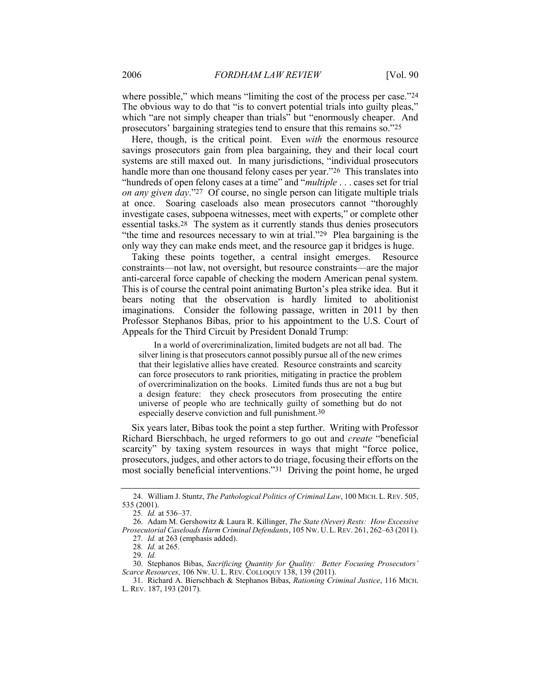where possible," which means "limiting the cost of the process per case."24 The obvious way to do that "is to convert potential trials into guilty pleas," which "are not simply cheaper than trials" but "enormously cheaper. And prosecutors' bargaining strategies tend to ensure that this remains so."25

Here, though, is the critical point. Even *with* the enormous resource savings prosecutors gain from plea bargaining, they and their local court systems are still maxed out. In many jurisdictions, "individual prosecutors handle more than one thousand felony cases per year."<sup>26</sup> This translates into "hundreds of open felony cases at a time" and "*multiple* . . . cases set for trial on any given day."27 Of course, no single person can litigate multiple trials at once. Soaring caseloads also mean prosecutors cannot "thoroughly investigate cases, subpoena witnesses, meet with experts," or complete other essential tasks.28 The system as it currently stands thus denies prosecutors "the time and resources necessary to win at trial."<sup>29</sup> Plea bargaining is the only way they can make ends meet, and the resource gap it bridges is huge.

Taking these points together, a central insight emerges. Resource constraints—not law, not oversight, but resource constraints—are the major anti-carceral force capable of checking the modern American penal system. This is of course the central point animating Burton's plea strike idea. But it bears noting that the observation is hardly limited to abolitionist imaginations. Consider the following passage, written in 2011 by then Professor Stephanos Bibas, prior to his appointment to the U.S. Court of Appeals for the Third Circuit by President Donald Trump:

In a world of overcriminalization, limited budgets are not all bad. The silver lining is that prosecutors cannot possibly pursue all of the new crimes that their legislative allies have created. Resource constraints and scarcity can force prosecutors to rank priorities, mitigating in practice the problem of overcriminalization on the books. Limited funds thus are not a bug but a design feature: they check prosecutors from prosecuting the entire universe of people who are technically guilty of something but do not especially deserve conviction and full punishment.30

Six years later, Bibas took the point a step further. Writing with Professor Richard Bierschbach, he urged reformers to go out and create "beneficial scarcity" by taxing system resources in ways that might "force police, prosecutors, judges, and other actors to do triage, focusing their efforts on the most socially beneficial interventions."31 Driving the point home, he urged

<sup>24.</sup> William J. Stuntz, The Pathological Politics of Criminal Law, 100 MICH. L. REV. 505, 535 (2001).

<sup>25</sup>. Id. at 536–37.

 <sup>26.</sup> Adam M. Gershowitz & Laura R. Killinger, The State (Never) Rests: How Excessive Prosecutorial Caseloads Harm Criminal Defendants, 105 NW. U.L.REV. 261, 262–63 (2011).

<sup>27</sup>. Id. at 263 (emphasis added).

<sup>28</sup>. Id. at 265.

<sup>29</sup>. Id.

 <sup>30.</sup> Stephanos Bibas, Sacrificing Quantity for Quality: Better Focusing Prosecutors' Scarce Resources, 106 NW. U. L. REV. COLLOQUY 138, 139 (2011).

 <sup>31.</sup> Richard A. Bierschbach & Stephanos Bibas, Rationing Criminal Justice, 116 MICH. L. REV. 187, 193 (2017).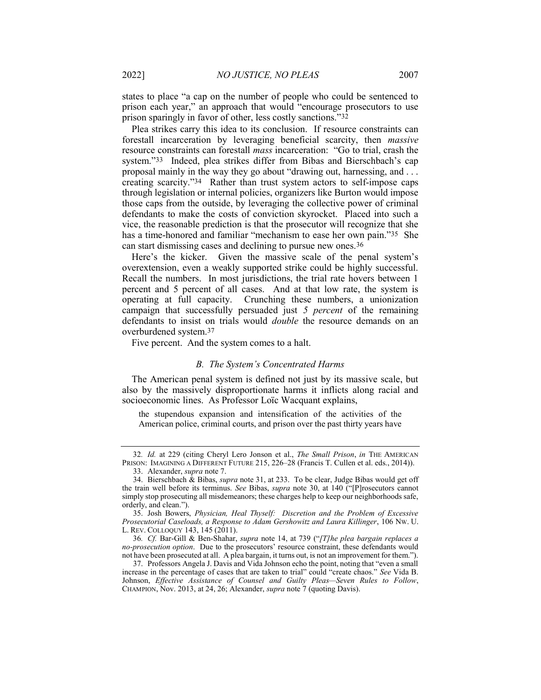states to place "a cap on the number of people who could be sentenced to prison each year," an approach that would "encourage prosecutors to use prison sparingly in favor of other, less costly sanctions."32

Plea strikes carry this idea to its conclusion. If resource constraints can forestall incarceration by leveraging beneficial scarcity, then massive resource constraints can forestall mass incarceration: "Go to trial, crash the system."33 Indeed, plea strikes differ from Bibas and Bierschbach's cap proposal mainly in the way they go about "drawing out, harnessing, and . . . creating scarcity."34 Rather than trust system actors to self-impose caps through legislation or internal policies, organizers like Burton would impose those caps from the outside, by leveraging the collective power of criminal defendants to make the costs of conviction skyrocket. Placed into such a vice, the reasonable prediction is that the prosecutor will recognize that she has a time-honored and familiar "mechanism to ease her own pain."35 She can start dismissing cases and declining to pursue new ones.36

Here's the kicker. Given the massive scale of the penal system's overextension, even a weakly supported strike could be highly successful. Recall the numbers. In most jurisdictions, the trial rate hovers between 1 percent and 5 percent of all cases. And at that low rate, the system is operating at full capacity. Crunching these numbers, a unionization campaign that successfully persuaded just 5 *percent* of the remaining defendants to insist on trials would double the resource demands on an overburdened system.37

Five percent. And the system comes to a halt.

#### B. The System's Concentrated Harms

The American penal system is defined not just by its massive scale, but also by the massively disproportionate harms it inflicts along racial and socioeconomic lines. As Professor Loïc Wacquant explains,

the stupendous expansion and intensification of the activities of the American police, criminal courts, and prison over the past thirty years have

<sup>32</sup>. Id. at 229 (citing Cheryl Lero Jonson et al., The Small Prison, in THE AMERICAN PRISON: IMAGINING A DIFFERENT FUTURE 215, 226–28 (Francis T. Cullen et al. eds., 2014)).

 <sup>33.</sup> Alexander, supra note 7.

<sup>34.</sup> Bierschbach & Bibas, *supra* note 31, at 233. To be clear, Judge Bibas would get off the train well before its terminus. See Bibas, supra note 30, at 140 ("[P]rosecutors cannot simply stop prosecuting all misdemeanors; these charges help to keep our neighborhoods safe, orderly, and clean.").

 <sup>35.</sup> Josh Bowers, Physician, Heal Thyself: Discretion and the Problem of Excessive Prosecutorial Caseloads, a Response to Adam Gershowitz and Laura Killinger, 106 NW. U. L. REV. COLLOQUY 143, 145 (2011).

<sup>36</sup>. Cf. Bar-Gill & Ben-Shahar, supra note 14, at 739 ("[T]he plea bargain replaces a no-prosecution option. Due to the prosecutors' resource constraint, these defendants would not have been prosecuted at all. A plea bargain, it turns out, is not an improvement for them.").

 <sup>37.</sup> Professors Angela J. Davis and Vida Johnson echo the point, noting that "even a small increase in the percentage of cases that are taken to trial" could "create chaos." See Vida B. Johnson, Effective Assistance of Counsel and Guilty Pleas—Seven Rules to Follow, CHAMPION, Nov. 2013, at 24, 26; Alexander, supra note 7 (quoting Davis).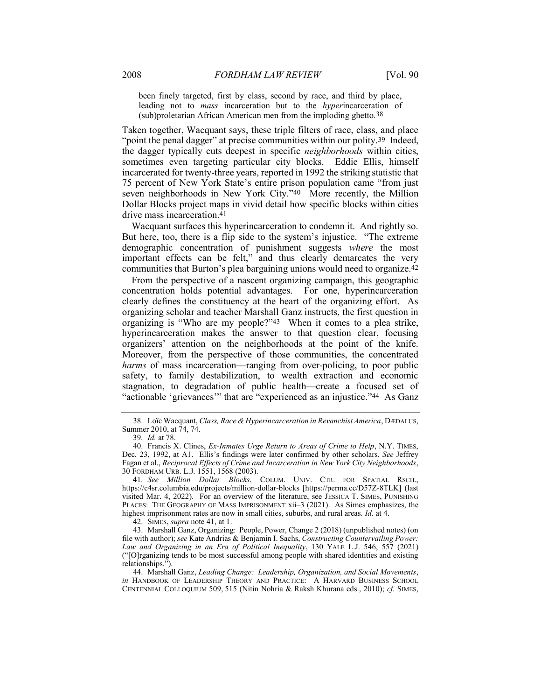been finely targeted, first by class, second by race, and third by place, leading not to *mass* incarceration but to the *hyperincarceration* of (sub)proletarian African American men from the imploding ghetto.38

Taken together, Wacquant says, these triple filters of race, class, and place "point the penal dagger" at precise communities within our polity.<sup>39</sup> Indeed, the dagger typically cuts deepest in specific neighborhoods within cities, sometimes even targeting particular city blocks. Eddie Ellis, himself incarcerated for twenty-three years, reported in 1992 the striking statistic that 75 percent of New York State's entire prison population came "from just seven neighborhoods in New York City."40 More recently, the Million Dollar Blocks project maps in vivid detail how specific blocks within cities drive mass incarceration.41

Wacquant surfaces this hyperincarceration to condemn it. And rightly so. But here, too, there is a flip side to the system's injustice. "The extreme demographic concentration of punishment suggests where the most important effects can be felt," and thus clearly demarcates the very communities that Burton's plea bargaining unions would need to organize.42

From the perspective of a nascent organizing campaign, this geographic concentration holds potential advantages. For one, hyperincarceration clearly defines the constituency at the heart of the organizing effort. As organizing scholar and teacher Marshall Ganz instructs, the first question in organizing is "Who are my people?"43 When it comes to a plea strike, hyperincarceration makes the answer to that question clear, focusing organizers' attention on the neighborhoods at the point of the knife. Moreover, from the perspective of those communities, the concentrated harms of mass incarceration—ranging from over-policing, to poor public safety, to family destabilization, to wealth extraction and economic stagnation, to degradation of public health—create a focused set of "actionable 'grievances'" that are "experienced as an injustice."44 As Ganz

42. SIMES, *supra* note 41, at 1.

 43. Marshall Ganz, Organizing: People, Power, Change 2 (2018) (unpublished notes) (on file with author); see Kate Andrias & Benjamin I. Sachs, Constructing Countervailing Power: Law and Organizing in an Era of Political Inequality, 130 YALE L.J. 546, 557 (2021) ("[O]rganizing tends to be most successful among people with shared identities and existing relationships.").

 44. Marshall Ganz, Leading Change: Leadership, Organization, and Social Movements, in HANDBOOK OF LEADERSHIP THEORY AND PRACTICE: A HARVARD BUSINESS SCHOOL CENTENNIAL COLLOQUIUM 509, 515 (Nitin Nohria & Raksh Khurana eds., 2010); cf. SIMES,

 <sup>38.</sup> Loïc Wacquant, Class, Race & Hyperincarceration in Revanchist America, DÆDALUS, Summer 2010, at 74, 74.

<sup>39</sup>. Id. at 78.

 <sup>40.</sup> Francis X. Clines, Ex-Inmates Urge Return to Areas of Crime to Help, N.Y. TIMES, Dec. 23, 1992, at A1. Ellis's findings were later confirmed by other scholars. See Jeffrey Fagan et al., Reciprocal Effects of Crime and Incarceration in New York City Neighborhoods, 30 FORDHAM URB. L.J. 1551, 1568 (2003).

<sup>41.</sup> See Million Dollar Blocks, COLUM. UNIV. CTR. FOR SPATIAL RSCH., https://c4sr.columbia.edu/projects/million-dollar-blocks [https://perma.cc/D57Z-8TLK] (last visited Mar. 4, 2022). For an overview of the literature, see JESSICA T. SIMES, PUNISHING PLACES: THE GEOGRAPHY OF MASS IMPRISONMENT xii–3 (2021). As Simes emphasizes, the highest imprisonment rates are now in small cities, suburbs, and rural areas. Id. at 4.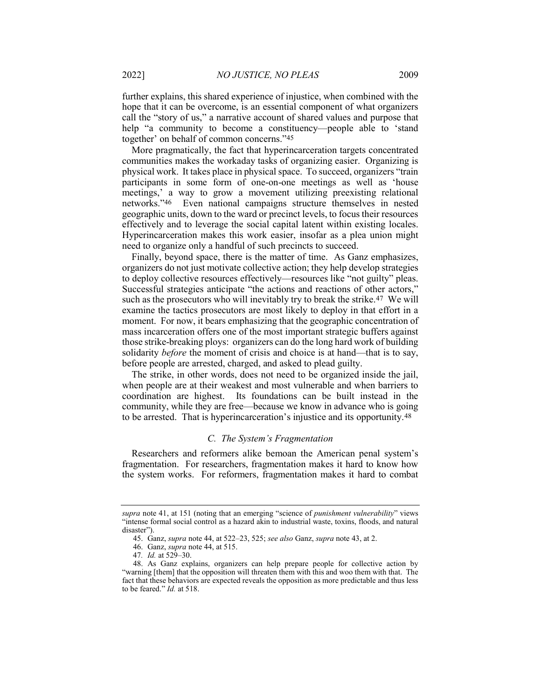further explains, this shared experience of injustice, when combined with the hope that it can be overcome, is an essential component of what organizers call the "story of us," a narrative account of shared values and purpose that help "a community to become a constituency—people able to 'stand together' on behalf of common concerns."45

More pragmatically, the fact that hyperincarceration targets concentrated communities makes the workaday tasks of organizing easier. Organizing is physical work. It takes place in physical space. To succeed, organizers "train participants in some form of one-on-one meetings as well as 'house meetings,' a way to grow a movement utilizing preexisting relational networks."46 Even national campaigns structure themselves in nested geographic units, down to the ward or precinct levels, to focus their resources effectively and to leverage the social capital latent within existing locales. Hyperincarceration makes this work easier, insofar as a plea union might need to organize only a handful of such precincts to succeed.

Finally, beyond space, there is the matter of time. As Ganz emphasizes, organizers do not just motivate collective action; they help develop strategies to deploy collective resources effectively—resources like "not guilty" pleas. Successful strategies anticipate "the actions and reactions of other actors," such as the prosecutors who will inevitably try to break the strike.47 We will examine the tactics prosecutors are most likely to deploy in that effort in a moment. For now, it bears emphasizing that the geographic concentration of mass incarceration offers one of the most important strategic buffers against those strike-breaking ploys: organizers can do the long hard work of building solidarity *before* the moment of crisis and choice is at hand—that is to say, before people are arrested, charged, and asked to plead guilty.

The strike, in other words, does not need to be organized inside the jail, when people are at their weakest and most vulnerable and when barriers to coordination are highest. Its foundations can be built instead in the community, while they are free—because we know in advance who is going to be arrested. That is hyperincarceration's injustice and its opportunity.48

#### C. The System's Fragmentation

Researchers and reformers alike bemoan the American penal system's fragmentation. For researchers, fragmentation makes it hard to know how the system works. For reformers, fragmentation makes it hard to combat

supra note 41, at 151 (noting that an emerging "science of *punishment vulnerability*" views "intense formal social control as a hazard akin to industrial waste, toxins, floods, and natural disaster").

 <sup>45.</sup> Ganz, supra note 44, at 522–23, 525; see also Ganz, supra note 43, at 2.

 <sup>46.</sup> Ganz, supra note 44, at 515.

<sup>47.</sup> *Id.* at  $529 - 30$ .

 <sup>48.</sup> As Ganz explains, organizers can help prepare people for collective action by "warning [them] that the opposition will threaten them with this and woo them with that. The fact that these behaviors are expected reveals the opposition as more predictable and thus less to be feared." Id. at 518.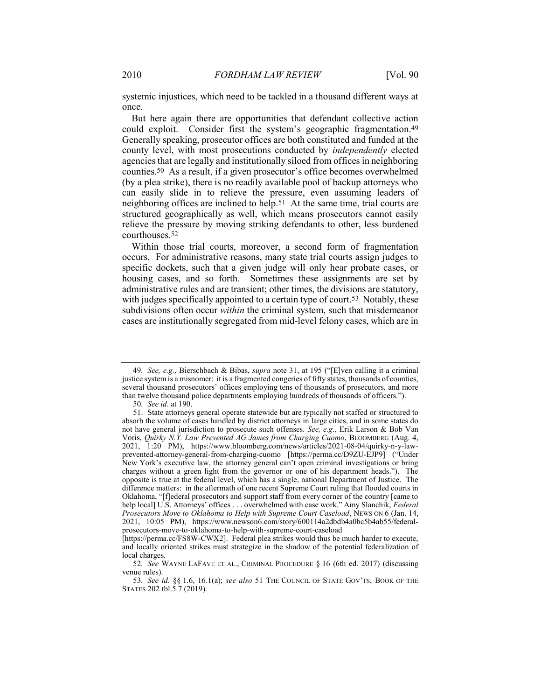systemic injustices, which need to be tackled in a thousand different ways at once.

But here again there are opportunities that defendant collective action could exploit. Consider first the system's geographic fragmentation.49 Generally speaking, prosecutor offices are both constituted and funded at the county level, with most prosecutions conducted by independently elected agencies that are legally and institutionally siloed from offices in neighboring counties.50 As a result, if a given prosecutor's office becomes overwhelmed (by a plea strike), there is no readily available pool of backup attorneys who can easily slide in to relieve the pressure, even assuming leaders of neighboring offices are inclined to help.51 At the same time, trial courts are structured geographically as well, which means prosecutors cannot easily relieve the pressure by moving striking defendants to other, less burdened courthouses.52

Within those trial courts, moreover, a second form of fragmentation occurs. For administrative reasons, many state trial courts assign judges to specific dockets, such that a given judge will only hear probate cases, or housing cases, and so forth. Sometimes these assignments are set by administrative rules and are transient; other times, the divisions are statutory, with judges specifically appointed to a certain type of court.<sup>53</sup> Notably, these subdivisions often occur within the criminal system, such that misdemeanor cases are institutionally segregated from mid-level felony cases, which are in

<sup>49.</sup> See, e.g., Bierschbach & Bibas, *supra* note 31, at 195 ("[E]ven calling it a criminal justice system is a misnomer: it is a fragmented congeries of fifty states, thousands of counties, several thousand prosecutors' offices employing tens of thousands of prosecutors, and more than twelve thousand police departments employing hundreds of thousands of officers.").

<sup>50</sup>. See id. at 190.

 <sup>51.</sup> State attorneys general operate statewide but are typically not staffed or structured to absorb the volume of cases handled by district attorneys in large cities, and in some states do not have general jurisdiction to prosecute such offenses. See, e.g., Erik Larson & Bob Van Voris, Quirky N.Y. Law Prevented AG James from Charging Cuomo, BLOOMBERG (Aug. 4, 2021, 1:20 PM), https://www.bloomberg.com/news/articles/2021-08-04/quirky-n-y-lawprevented-attorney-general-from-charging-cuomo [https://perma.cc/D9ZU-EJP9] ("Under New York's executive law, the attorney general can't open criminal investigations or bring charges without a green light from the governor or one of his department heads."). The opposite is true at the federal level, which has a single, national Department of Justice. The difference matters: in the aftermath of one recent Supreme Court ruling that flooded courts in Oklahoma, "[f]ederal prosecutors and support staff from every corner of the country [came to help local] U.S. Attorneys' offices . . . overwhelmed with case work." Amy Slanchik, Federal Prosecutors Move to Oklahoma to Help with Supreme Court Caseload, NEWS ON 6 (Jan. 14, 2021, 10:05 PM), https://www.newson6.com/story/600114a2dbdb4a0bc5b4ab55/federalprosecutors-move-to-oklahoma-to-help-with-supreme-court-caseload

<sup>[</sup>https://perma.cc/FS8W-CWX2]. Federal plea strikes would thus be much harder to execute, and locally oriented strikes must strategize in the shadow of the potential federalization of local charges.

<sup>52</sup>. See WAYNE LAFAVE ET AL., CRIMINAL PROCEDURE § 16 (6th ed. 2017) (discussing venue rules).

<sup>53.</sup> See id. §§ 1.6, 16.1(a); see also 51 THE COUNCIL OF STATE GOV'TS, BOOK OF THE STATES 202 tbl.5.7 (2019).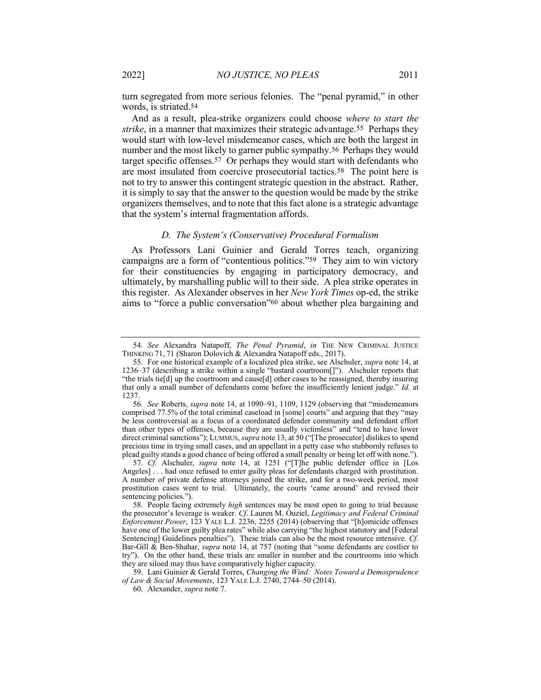turn segregated from more serious felonies. The "penal pyramid," in other words, is striated.54

And as a result, plea-strike organizers could choose where to start the strike, in a manner that maximizes their strategic advantage.55 Perhaps they would start with low-level misdemeanor cases, which are both the largest in number and the most likely to garner public sympathy.56 Perhaps they would target specific offenses.57 Or perhaps they would start with defendants who are most insulated from coercive prosecutorial tactics.58 The point here is not to try to answer this contingent strategic question in the abstract. Rather, it is simply to say that the answer to the question would be made by the strike organizers themselves, and to note that this fact alone is a strategic advantage that the system's internal fragmentation affords.

#### D. The System's (Conservative) Procedural Formalism

As Professors Lani Guinier and Gerald Torres teach, organizing campaigns are a form of "contentious politics."59 They aim to win victory for their constituencies by engaging in participatory democracy, and ultimately, by marshalling public will to their side. A plea strike operates in this register. As Alexander observes in her New York Times op-ed, the strike aims to "force a public conversation"60 about whether plea bargaining and

59. Lani Guinier & Gerald Torres, Changing the Wind: Notes Toward a Demosprudence of Law & Social Movements, 123 YALE L.J. 2740, 2744–50 (2014).

<sup>54.</sup> See Alexandra Natapoff, The Penal Pyramid, in THE NEW CRIMINAL JUSTICE THINKING 71, 71 (Sharon Dolovich & Alexandra Natapoff eds., 2017).

 <sup>55.</sup> For one historical example of a localized plea strike, see Alschuler, supra note 14, at 1236–37 (describing a strike within a single "bastard courtroom[]"). Alschuler reports that "the trials tie[d] up the courtroom and cause[d] other cases to be reassigned, thereby insuring that only a small number of defendants come before the insufficiently lenient judge." Id. at 1237.

<sup>56</sup>. See Roberts, supra note 14, at 1090–91, 1109, 1129 (observing that "misdemeanors comprised 77.5% of the total criminal caseload in [some] courts" and arguing that they "may be less controversial as a focus of a coordinated defender community and defendant effort than other types of offenses, because they are usually victimless" and "tend to have lower direct criminal sanctions"); LUMMUS, supra note 13, at 50 ("[The prosecutor] dislikes to spend precious time in trying small cases, and an appellant in a petty case who stubbornly refuses to plead guilty stands a good chance of being offered a small penalty or being let off with none.").

<sup>57.</sup> Cf. Alschuler, supra note 14, at 1251 ("[T]he public defender office in [Los Angeles] . . . had once refused to enter guilty pleas for defendants charged with prostitution. A number of private defense attorneys joined the strike, and for a two-week period, most prostitution cases went to trial. Ultimately, the courts 'came around' and revised their sentencing policies.").

 <sup>58.</sup> People facing extremely high sentences may be most open to going to trial because the prosecutor's leverage is weaker. Cf. Lauren M. Ouziel, Legitimacy and Federal Criminal Enforcement Power, 123 YALE L.J. 2236, 2255 (2014) (observing that "[h]omicide offenses have one of the lower guilty plea rates" while also carrying "the highest statutory and [Federal Sentencing] Guidelines penalties"). These trials can also be the most resource intensive. Cf. Bar-Gill & Ben-Shahar, supra note 14, at 757 (noting that "some defendants are costlier to try"). On the other hand, these trials are smaller in number and the courtrooms into which they are siloed may thus have comparatively higher capacity.

 <sup>60.</sup> Alexander, supra note 7.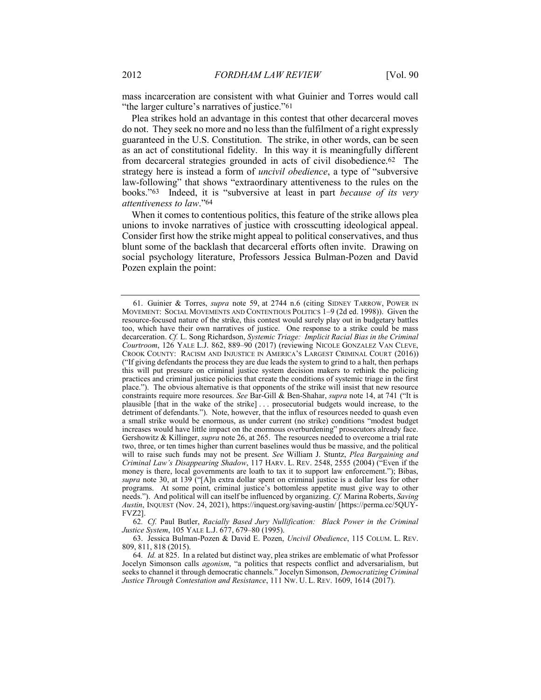mass incarceration are consistent with what Guinier and Torres would call "the larger culture's narratives of justice."<sup>61</sup>

Plea strikes hold an advantage in this contest that other decarceral moves do not. They seek no more and no less than the fulfilment of a right expressly guaranteed in the U.S. Constitution. The strike, in other words, can be seen as an act of constitutional fidelity. In this way it is meaningfully different from decarceral strategies grounded in acts of civil disobedience.62 The strategy here is instead a form of uncivil obedience, a type of "subversive law-following" that shows "extraordinary attentiveness to the rules on the books."63 Indeed, it is "subversive at least in part because of its very attentiveness to law."64

When it comes to contentious politics, this feature of the strike allows plea unions to invoke narratives of justice with crosscutting ideological appeal. Consider first how the strike might appeal to political conservatives, and thus blunt some of the backlash that decarceral efforts often invite. Drawing on social psychology literature, Professors Jessica Bulman-Pozen and David Pozen explain the point:

62. Cf. Paul Butler, Racially Based Jury Nullification: Black Power in the Criminal Justice System, 105 YALE L.J. 677, 679-80 (1995).

 63. Jessica Bulman-Pozen & David E. Pozen, Uncivil Obedience, 115 COLUM. L. REV. 809, 811, 818 (2015).

 <sup>61.</sup> Guinier & Torres, supra note 59, at 2744 n.6 (citing SIDNEY TARROW, POWER IN MOVEMENT: SOCIAL MOVEMENTS AND CONTENTIOUS POLITICS 1–9 (2d ed. 1998)). Given the resource-focused nature of the strike, this contest would surely play out in budgetary battles too, which have their own narratives of justice. One response to a strike could be mass decarceration. Cf. L. Song Richardson, Systemic Triage: Implicit Racial Bias in the Criminal Courtroom, 126 YALE L.J. 862, 889–90 (2017) (reviewing NICOLE GONZALEZ VAN CLEVE, CROOK COUNTY: RACISM AND INJUSTICE IN AMERICA'S LARGEST CRIMINAL COURT (2016)) ("If giving defendants the process they are due leads the system to grind to a halt, then perhaps this will put pressure on criminal justice system decision makers to rethink the policing practices and criminal justice policies that create the conditions of systemic triage in the first place."). The obvious alternative is that opponents of the strike will insist that new resource constraints require more resources. See Bar-Gill & Ben-Shahar, supra note 14, at 741 ("It is plausible [that in the wake of the strike] . . . prosecutorial budgets would increase, to the detriment of defendants."). Note, however, that the influx of resources needed to quash even a small strike would be enormous, as under current (no strike) conditions "modest budget increases would have little impact on the enormous overburdening" prosecutors already face. Gershowitz & Killinger, *supra* note 26, at 265. The resources needed to overcome a trial rate two, three, or ten times higher than current baselines would thus be massive, and the political will to raise such funds may not be present. See William J. Stuntz, *Plea Bargaining and* Criminal Law's Disappearing Shadow, 117 HARV. L. REV. 2548, 2555 (2004) ("Even if the money is there, local governments are loath to tax it to support law enforcement."); Bibas, supra note 30, at 139 ("[A]n extra dollar spent on criminal justice is a dollar less for other programs. At some point, criminal justice's bottomless appetite must give way to other needs."). And political will can itself be influenced by organizing. Cf. Marina Roberts, Saving Austin, INQUEST (Nov. 24, 2021), https://inquest.org/saving-austin/ [https://perma.cc/5QUY-FVZ2].

<sup>64</sup>. Id. at 825. In a related but distinct way, plea strikes are emblematic of what Professor Jocelyn Simonson calls agonism, "a politics that respects conflict and adversarialism, but seeks to channel it through democratic channels." Jocelyn Simonson, Democratizing Criminal Justice Through Contestation and Resistance, 111 NW. U. L. REV. 1609, 1614 (2017).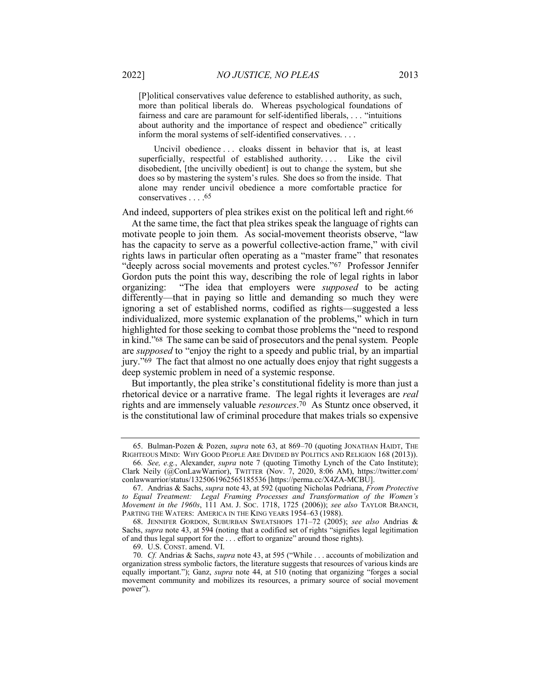[P]olitical conservatives value deference to established authority, as such, more than political liberals do. Whereas psychological foundations of fairness and care are paramount for self-identified liberals, . . . "intuitions about authority and the importance of respect and obedience" critically inform the moral systems of self-identified conservatives. . . .

Uncivil obedience . . . cloaks dissent in behavior that is, at least superficially, respectful of established authority.... Like the civil disobedient, [the uncivilly obedient] is out to change the system, but she does so by mastering the system's rules. She does so from the inside. That alone may render uncivil obedience a more comfortable practice for conservatives . . . .65

And indeed, supporters of plea strikes exist on the political left and right.<sup>66</sup>

At the same time, the fact that plea strikes speak the language of rights can motivate people to join them. As social-movement theorists observe, "law has the capacity to serve as a powerful collective-action frame," with civil rights laws in particular often operating as a "master frame" that resonates "deeply across social movements and protest cycles."67 Professor Jennifer Gordon puts the point this way, describing the role of legal rights in labor organizing: "The idea that employers were supposed to be acting differently—that in paying so little and demanding so much they were ignoring a set of established norms, codified as rights—suggested a less individualized, more systemic explanation of the problems," which in turn highlighted for those seeking to combat those problems the "need to respond in kind."68 The same can be said of prosecutors and the penal system. People are supposed to "enjoy the right to a speedy and public trial, by an impartial jury."69 The fact that almost no one actually does enjoy that right suggests a deep systemic problem in need of a systemic response.

But importantly, the plea strike's constitutional fidelity is more than just a rhetorical device or a narrative frame. The legal rights it leverages are real rights and are immensely valuable resources.70 As Stuntz once observed, it is the constitutional law of criminal procedure that makes trials so expensive

 <sup>65.</sup> Bulman-Pozen & Pozen, supra note 63, at 869–70 (quoting JONATHAN HAIDT, THE RIGHTEOUS MIND: WHY GOOD PEOPLE ARE DIVIDED BY POLITICS AND RELIGION 168 (2013)).

<sup>66</sup>. See, e.g., Alexander, supra note 7 (quoting Timothy Lynch of the Cato Institute); Clark Neily (@ConLawWarrior), TWITTER (Nov. 7, 2020, 8:06 AM), https://twitter.com/ conlawwarrior/status/1325061962565185536 [https://perma.cc/X4ZA-MCBU].

 <sup>67.</sup> Andrias & Sachs, supra note 43, at 592 (quoting Nicholas Pedriana, From Protective to Equal Treatment: Legal Framing Processes and Transformation of the Women's Movement in the 1960s, 111 AM. J. Soc. 1718, 1725 (2006)); see also TAYLOR BRANCH, PARTING THE WATERS: AMERICA IN THE KING YEARS 1954–63 (1988).

 <sup>68.</sup> JENNIFER GORDON, SUBURBAN SWEATSHOPS 171–72 (2005); see also Andrias & Sachs, supra note 43, at 594 (noting that a codified set of rights "signifies legal legitimation of and thus legal support for the . . . effort to organize" around those rights).

 <sup>69.</sup> U.S. CONST. amend. VI.

<sup>70</sup>. Cf. Andrias & Sachs, supra note 43, at 595 ("While . . . accounts of mobilization and organization stress symbolic factors, the literature suggests that resources of various kinds are equally important."); Ganz, *supra* note 44, at 510 (noting that organizing "forges a social movement community and mobilizes its resources, a primary source of social movement power").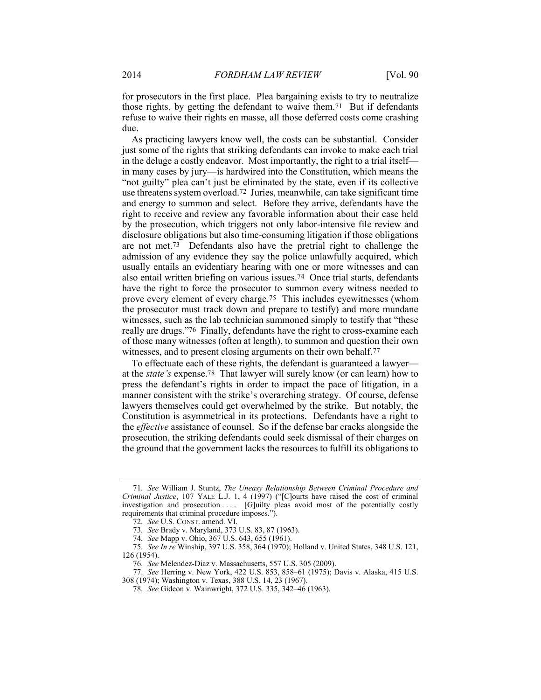for prosecutors in the first place. Plea bargaining exists to try to neutralize those rights, by getting the defendant to waive them.71 But if defendants refuse to waive their rights en masse, all those deferred costs come crashing due.

As practicing lawyers know well, the costs can be substantial. Consider just some of the rights that striking defendants can invoke to make each trial in the deluge a costly endeavor. Most importantly, the right to a trial itself in many cases by jury—is hardwired into the Constitution, which means the "not guilty" plea can't just be eliminated by the state, even if its collective use threatens system overload.72 Juries, meanwhile, can take significant time and energy to summon and select. Before they arrive, defendants have the right to receive and review any favorable information about their case held by the prosecution, which triggers not only labor-intensive file review and disclosure obligations but also time-consuming litigation if those obligations are not met.73 Defendants also have the pretrial right to challenge the admission of any evidence they say the police unlawfully acquired, which usually entails an evidentiary hearing with one or more witnesses and can also entail written briefing on various issues.74 Once trial starts, defendants have the right to force the prosecutor to summon every witness needed to prove every element of every charge.75 This includes eyewitnesses (whom the prosecutor must track down and prepare to testify) and more mundane witnesses, such as the lab technician summoned simply to testify that "these really are drugs."76 Finally, defendants have the right to cross-examine each of those many witnesses (often at length), to summon and question their own witnesses, and to present closing arguments on their own behalf.<sup>77</sup>

To effectuate each of these rights, the defendant is guaranteed a lawyer at the state's expense.78 That lawyer will surely know (or can learn) how to press the defendant's rights in order to impact the pace of litigation, in a manner consistent with the strike's overarching strategy. Of course, defense lawyers themselves could get overwhelmed by the strike. But notably, the Constitution is asymmetrical in its protections. Defendants have a right to the effective assistance of counsel. So if the defense bar cracks alongside the prosecution, the striking defendants could seek dismissal of their charges on the ground that the government lacks the resources to fulfill its obligations to

<sup>71</sup>. See William J. Stuntz, The Uneasy Relationship Between Criminal Procedure and Criminal Justice, 107 YALE L.J. 1, 4 (1997) ("[C]ourts have raised the cost of criminal investigation and prosecution .... [G]uilty pleas avoid most of the potentially costly requirements that criminal procedure imposes.").

<sup>72</sup>. See U.S. CONST. amend. VI.

<sup>73</sup>. See Brady v. Maryland, 373 U.S. 83, 87 (1963).

<sup>74</sup>. See Mapp v. Ohio, 367 U.S. 643, 655 (1961).

<sup>75</sup>. See In re Winship, 397 U.S. 358, 364 (1970); Holland v. United States, 348 U.S. 121, 126 (1954).

<sup>76</sup>. See Melendez-Diaz v. Massachusetts, 557 U.S. 305 (2009).

 <sup>77.</sup> See Herring v. New York, 422 U.S. 853, 858–61 (1975); Davis v. Alaska, 415 U.S. 308 (1974); Washington v. Texas, 388 U.S. 14, 23 (1967).

<sup>78</sup>. See Gideon v. Wainwright, 372 U.S. 335, 342–46 (1963).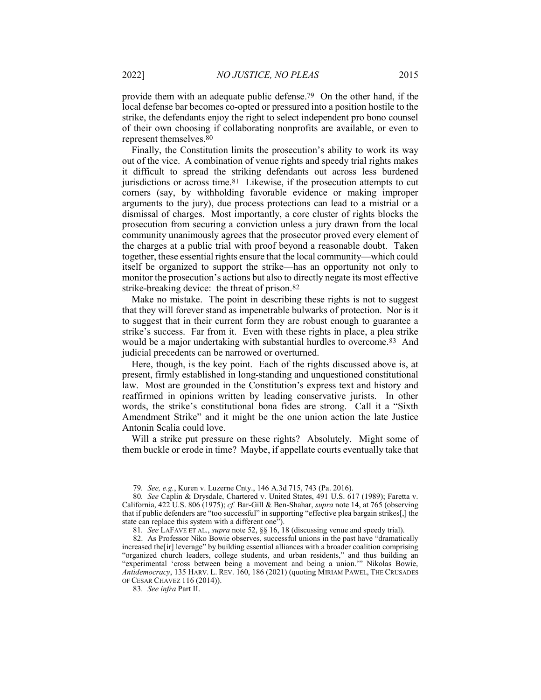provide them with an adequate public defense.79 On the other hand, if the local defense bar becomes co-opted or pressured into a position hostile to the strike, the defendants enjoy the right to select independent pro bono counsel of their own choosing if collaborating nonprofits are available, or even to represent themselves.80

Finally, the Constitution limits the prosecution's ability to work its way out of the vice. A combination of venue rights and speedy trial rights makes it difficult to spread the striking defendants out across less burdened jurisdictions or across time.81 Likewise, if the prosecution attempts to cut corners (say, by withholding favorable evidence or making improper arguments to the jury), due process protections can lead to a mistrial or a dismissal of charges. Most importantly, a core cluster of rights blocks the prosecution from securing a conviction unless a jury drawn from the local community unanimously agrees that the prosecutor proved every element of the charges at a public trial with proof beyond a reasonable doubt. Taken together, these essential rights ensure that the local community—which could itself be organized to support the strike—has an opportunity not only to monitor the prosecution's actions but also to directly negate its most effective strike-breaking device: the threat of prison.82

Make no mistake. The point in describing these rights is not to suggest that they will forever stand as impenetrable bulwarks of protection. Nor is it to suggest that in their current form they are robust enough to guarantee a strike's success. Far from it. Even with these rights in place, a plea strike would be a major undertaking with substantial hurdles to overcome.83 And judicial precedents can be narrowed or overturned.

Here, though, is the key point. Each of the rights discussed above is, at present, firmly established in long-standing and unquestioned constitutional law. Most are grounded in the Constitution's express text and history and reaffirmed in opinions written by leading conservative jurists. In other words, the strike's constitutional bona fides are strong. Call it a "Sixth Amendment Strike" and it might be the one union action the late Justice Antonin Scalia could love.

Will a strike put pressure on these rights? Absolutely. Might some of them buckle or erode in time? Maybe, if appellate courts eventually take that

<sup>79</sup>. See, e.g., Kuren v. Luzerne Cnty., 146 A.3d 715, 743 (Pa. 2016).

<sup>80</sup>. See Caplin & Drysdale, Chartered v. United States, 491 U.S. 617 (1989); Faretta v. California, 422 U.S. 806 (1975); cf. Bar-Gill & Ben-Shahar, supra note 14, at 765 (observing that if public defenders are "too successful" in supporting "effective plea bargain strikes[,] the state can replace this system with a different one").

<sup>81</sup>. See LAFAVE ET AL., supra note 52, §§ 16, 18 (discussing venue and speedy trial).

 <sup>82.</sup> As Professor Niko Bowie observes, successful unions in the past have "dramatically increased the[ir] leverage" by building essential alliances with a broader coalition comprising "organized church leaders, college students, and urban residents," and thus building an "experimental 'cross between being a movement and being a union.'" Nikolas Bowie, Antidemocracy, 135 HARV. L. REV. 160, 186 (2021) (quoting MIRIAM PAWEL, THE CRUSADES OF CESAR CHAVEZ 116 (2014)).

<sup>83</sup>. See infra Part II.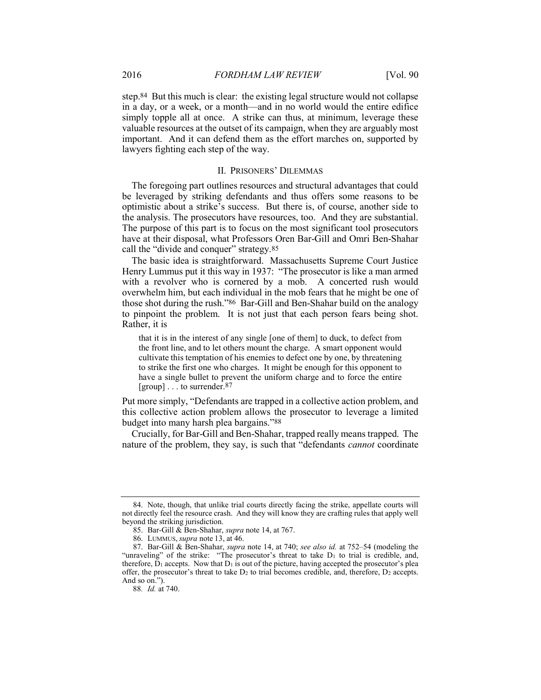step.84 But this much is clear: the existing legal structure would not collapse in a day, or a week, or a month—and in no world would the entire edifice simply topple all at once. A strike can thus, at minimum, leverage these valuable resources at the outset of its campaign, when they are arguably most important. And it can defend them as the effort marches on, supported by lawyers fighting each step of the way.

#### II. PRISONERS' DILEMMAS

The foregoing part outlines resources and structural advantages that could be leveraged by striking defendants and thus offers some reasons to be optimistic about a strike's success. But there is, of course, another side to the analysis. The prosecutors have resources, too. And they are substantial. The purpose of this part is to focus on the most significant tool prosecutors have at their disposal, what Professors Oren Bar-Gill and Omri Ben-Shahar call the "divide and conquer" strategy.<sup>85</sup>

The basic idea is straightforward. Massachusetts Supreme Court Justice Henry Lummus put it this way in 1937: "The prosecutor is like a man armed with a revolver who is cornered by a mob. A concerted rush would overwhelm him, but each individual in the mob fears that he might be one of those shot during the rush."86 Bar-Gill and Ben-Shahar build on the analogy to pinpoint the problem. It is not just that each person fears being shot. Rather, it is

that it is in the interest of any single [one of them] to duck, to defect from the front line, and to let others mount the charge. A smart opponent would cultivate this temptation of his enemies to defect one by one, by threatening to strike the first one who charges. It might be enough for this opponent to have a single bullet to prevent the uniform charge and to force the entire  $\lceil \text{group} \rceil$ ... to surrender.<sup>87</sup>

Put more simply, "Defendants are trapped in a collective action problem, and this collective action problem allows the prosecutor to leverage a limited budget into many harsh plea bargains."88

Crucially, for Bar-Gill and Ben-Shahar, trapped really means trapped. The nature of the problem, they say, is such that "defendants *cannot* coordinate

 <sup>84.</sup> Note, though, that unlike trial courts directly facing the strike, appellate courts will not directly feel the resource crash. And they will know they are crafting rules that apply well beyond the striking jurisdiction.

 <sup>85.</sup> Bar-Gill & Ben-Shahar, supra note 14, at 767.

 <sup>86.</sup> LUMMUS, supra note 13, at 46.

 <sup>87.</sup> Bar-Gill & Ben-Shahar, supra note 14, at 740; see also id. at 752–54 (modeling the "unraveling" of the strike: "The prosecutor's threat to take D<sub>1</sub> to trial is credible, and, therefore,  $D_1$  accepts. Now that  $D_1$  is out of the picture, having accepted the prosecutor's plea offer, the prosecutor's threat to take  $D_2$  to trial becomes credible, and, therefore,  $D_2$  accepts. And so on.").

<sup>88</sup>. Id. at 740.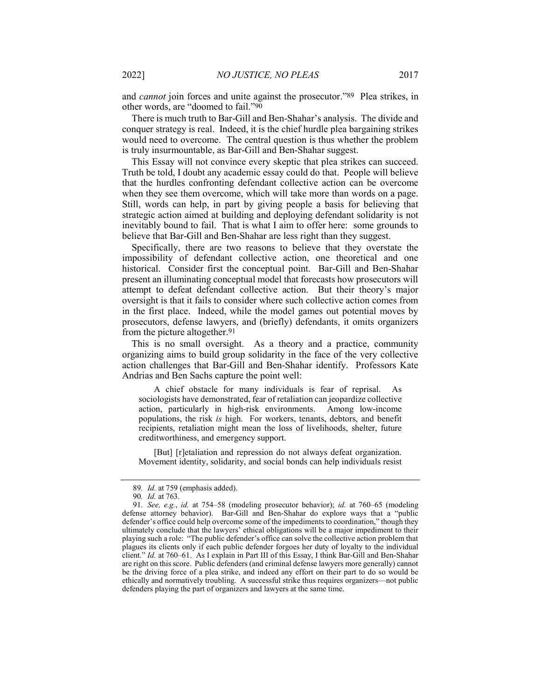and cannot join forces and unite against the prosecutor."89 Plea strikes, in other words, are "doomed to fail."90

There is much truth to Bar-Gill and Ben-Shahar's analysis. The divide and conquer strategy is real. Indeed, it is the chief hurdle plea bargaining strikes would need to overcome. The central question is thus whether the problem is truly insurmountable, as Bar-Gill and Ben-Shahar suggest.

This Essay will not convince every skeptic that plea strikes can succeed. Truth be told, I doubt any academic essay could do that. People will believe that the hurdles confronting defendant collective action can be overcome when they see them overcome, which will take more than words on a page. Still, words can help, in part by giving people a basis for believing that strategic action aimed at building and deploying defendant solidarity is not inevitably bound to fail. That is what I aim to offer here: some grounds to believe that Bar-Gill and Ben-Shahar are less right than they suggest.

Specifically, there are two reasons to believe that they overstate the impossibility of defendant collective action, one theoretical and one historical. Consider first the conceptual point. Bar-Gill and Ben-Shahar present an illuminating conceptual model that forecasts how prosecutors will attempt to defeat defendant collective action. But their theory's major oversight is that it fails to consider where such collective action comes from in the first place. Indeed, while the model games out potential moves by prosecutors, defense lawyers, and (briefly) defendants, it omits organizers from the picture altogether.91

This is no small oversight. As a theory and a practice, community organizing aims to build group solidarity in the face of the very collective action challenges that Bar-Gill and Ben-Shahar identify. Professors Kate Andrias and Ben Sachs capture the point well:

A chief obstacle for many individuals is fear of reprisal. As sociologists have demonstrated, fear of retaliation can jeopardize collective action, particularly in high-risk environments. Among low-income populations, the risk is high. For workers, tenants, debtors, and benefit recipients, retaliation might mean the loss of livelihoods, shelter, future creditworthiness, and emergency support.

[But] [r]etaliation and repression do not always defeat organization. Movement identity, solidarity, and social bonds can help individuals resist

<sup>89</sup>. Id. at 759 (emphasis added).

<sup>90</sup>. Id. at 763.

<sup>91</sup>. See, e.g., id. at 754–58 (modeling prosecutor behavior); id. at 760–65 (modeling defense attorney behavior). Bar-Gill and Ben-Shahar do explore ways that a "public defender's office could help overcome some of the impediments to coordination," though they ultimately conclude that the lawyers' ethical obligations will be a major impediment to their playing such a role: "The public defender's office can solve the collective action problem that plagues its clients only if each public defender forgoes her duty of loyalty to the individual client." Id. at 760–61. As I explain in Part III of this Essay, I think Bar-Gill and Ben-Shahar are right on this score. Public defenders (and criminal defense lawyers more generally) cannot be the driving force of a plea strike, and indeed any effort on their part to do so would be ethically and normatively troubling. A successful strike thus requires organizers—not public defenders playing the part of organizers and lawyers at the same time.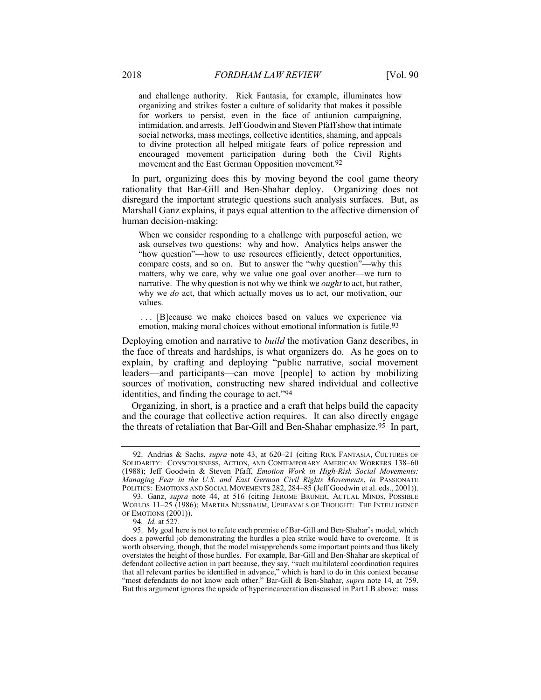and challenge authority. Rick Fantasia, for example, illuminates how organizing and strikes foster a culture of solidarity that makes it possible for workers to persist, even in the face of antiunion campaigning, intimidation, and arrests. Jeff Goodwin and Steven Pfaff show that intimate social networks, mass meetings, collective identities, shaming, and appeals to divine protection all helped mitigate fears of police repression and encouraged movement participation during both the Civil Rights movement and the East German Opposition movement.92

In part, organizing does this by moving beyond the cool game theory rationality that Bar-Gill and Ben-Shahar deploy. Organizing does not disregard the important strategic questions such analysis surfaces. But, as Marshall Ganz explains, it pays equal attention to the affective dimension of human decision-making:

When we consider responding to a challenge with purposeful action, we ask ourselves two questions: why and how. Analytics helps answer the "how question"—how to use resources efficiently, detect opportunities, compare costs, and so on. But to answer the "why question"—why this matters, why we care, why we value one goal over another—we turn to narrative. The why question is not why we think we *ought* to act, but rather, why we do act, that which actually moves us to act, our motivation, our values.

 . . . [B]ecause we make choices based on values we experience via emotion, making moral choices without emotional information is futile.<sup>93</sup>

Deploying emotion and narrative to build the motivation Ganz describes, in the face of threats and hardships, is what organizers do. As he goes on to explain, by crafting and deploying "public narrative, social movement leaders—and participants—can move [people] to action by mobilizing sources of motivation, constructing new shared individual and collective identities, and finding the courage to act."94

Organizing, in short, is a practice and a craft that helps build the capacity and the courage that collective action requires. It can also directly engage the threats of retaliation that Bar-Gill and Ben-Shahar emphasize.95 In part,

<sup>92.</sup> Andrias & Sachs, *supra* note 43, at 620–21 (citing RICK FANTASIA, CULTURES OF SOLIDARITY: CONSCIOUSNESS, ACTION, AND CONTEMPORARY AMERICAN WORKERS 138–60 (1988); Jeff Goodwin & Steven Pfaff, Emotion Work in High-Risk Social Movements: Managing Fear in the U.S. and East German Civil Rights Movements, in PASSIONATE POLITICS: EMOTIONS AND SOCIAL MOVEMENTS 282, 284-85 (Jeff Goodwin et al. eds., 2001)).

<sup>93.</sup> Ganz, supra note 44, at 516 (citing JEROME BRUNER, ACTUAL MINDS, POSSIBLE WORLDS 11-25 (1986); MARTHA NUSSBAUM, UPHEAVALS OF THOUGHT: THE INTELLIGENCE OF EMOTIONS (2001)).

<sup>94</sup>. Id. at 527.

 <sup>95.</sup> My goal here is not to refute each premise of Bar-Gill and Ben-Shahar's model, which does a powerful job demonstrating the hurdles a plea strike would have to overcome. It is worth observing, though, that the model misapprehends some important points and thus likely overstates the height of those hurdles. For example, Bar-Gill and Ben-Shahar are skeptical of defendant collective action in part because, they say, "such multilateral coordination requires that all relevant parties be identified in advance," which is hard to do in this context because "most defendants do not know each other." Bar-Gill & Ben-Shahar, *supra* note 14, at 759. But this argument ignores the upside of hyperincarceration discussed in Part I.B above: mass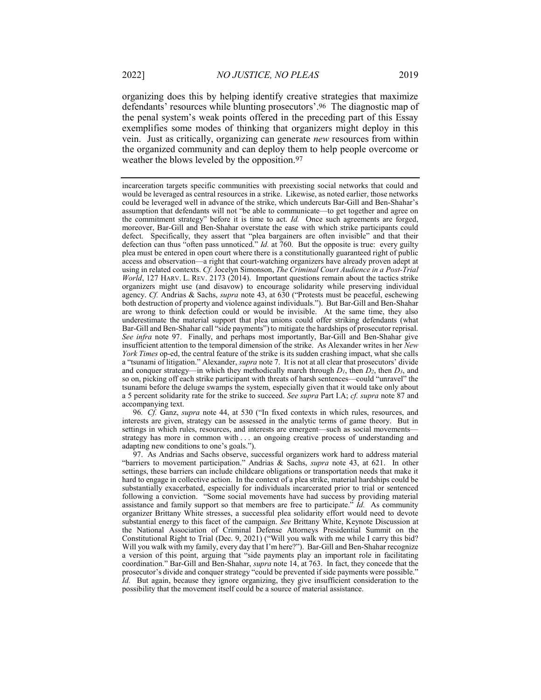organizing does this by helping identify creative strategies that maximize defendants' resources while blunting prosecutors'.96 The diagnostic map of the penal system's weak points offered in the preceding part of this Essay exemplifies some modes of thinking that organizers might deploy in this vein. Just as critically, organizing can generate new resources from within the organized community and can deploy them to help people overcome or weather the blows leveled by the opposition.97

96. Cf. Ganz, supra note 44, at 530 ("In fixed contexts in which rules, resources, and interests are given, strategy can be assessed in the analytic terms of game theory. But in settings in which rules, resources, and interests are emergent—such as social movements strategy has more in common with . . . an ongoing creative process of understanding and adapting new conditions to one's goals.").

 97. As Andrias and Sachs observe, successful organizers work hard to address material "barriers to movement participation." Andrias & Sachs, *supra* note 43, at 621. In other settings, these barriers can include childcare obligations or transportation needs that make it hard to engage in collective action. In the context of a plea strike, material hardships could be substantially exacerbated, especially for individuals incarcerated prior to trial or sentenced following a conviction. "Some social movements have had success by providing material assistance and family support so that members are free to participate."  $\overline{Id}$ . As community organizer Brittany White stresses, a successful plea solidarity effort would need to devote substantial energy to this facet of the campaign. See Brittany White, Keynote Discussion at the National Association of Criminal Defense Attorneys Presidential Summit on the Constitutional Right to Trial (Dec. 9, 2021) ("Will you walk with me while I carry this bid? Will you walk with my family, every day that I'm here?"). Bar-Gill and Ben-Shahar recognize a version of this point, arguing that "side payments play an important role in facilitating coordination." Bar-Gill and Ben-Shahar, supra note 14, at 763. In fact, they concede that the prosecutor's divide and conquer strategy "could be prevented if side payments were possible." Id. But again, because they ignore organizing, they give insufficient consideration to the possibility that the movement itself could be a source of material assistance.

incarceration targets specific communities with preexisting social networks that could and would be leveraged as central resources in a strike. Likewise, as noted earlier, those networks could be leveraged well in advance of the strike, which undercuts Bar-Gill and Ben-Shahar's assumption that defendants will not "be able to communicate—to get together and agree on the commitment strategy" before it is time to act. Id. Once such agreements are forged, moreover, Bar-Gill and Ben-Shahar overstate the ease with which strike participants could defect. Specifically, they assert that "plea bargainers are often invisible" and that their defection can thus "often pass unnoticed." Id. at 760. But the opposite is true: every guilty plea must be entered in open court where there is a constitutionally guaranteed right of public access and observation—a right that court-watching organizers have already proven adept at using in related contexts. Cf. Jocelyn Simonson, The Criminal Court Audience in a Post-Trial World, 127 HARV. L. REV. 2173 (2014). Important questions remain about the tactics strike organizers might use (and disavow) to encourage solidarity while preserving individual agency. Cf. Andrias & Sachs, supra note 43, at 630 ("Protests must be peaceful, eschewing both destruction of property and violence against individuals."). But Bar-Gill and Ben-Shahar are wrong to think defection could or would be invisible. At the same time, they also underestimate the material support that plea unions could offer striking defendants (what Bar-Gill and Ben-Shahar call "side payments") to mitigate the hardships of prosecutor reprisal. See infra note 97. Finally, and perhaps most importantly, Bar-Gill and Ben-Shahar give insufficient attention to the temporal dimension of the strike. As Alexander writes in her  $New$ York Times op-ed, the central feature of the strike is its sudden crashing impact, what she calls a "tsunami of litigation." Alexander, supra note 7. It is not at all clear that prosecutors' divide and conquer strategy—in which they methodically march through  $D_1$ , then  $D_2$ , then  $D_3$ , and so on, picking off each strike participant with threats of harsh sentences—could "unravel" the tsunami before the deluge swamps the system, especially given that it would take only about a 5 percent solidarity rate for the strike to succeed. See supra Part I.A; cf. supra note 87 and accompanying text.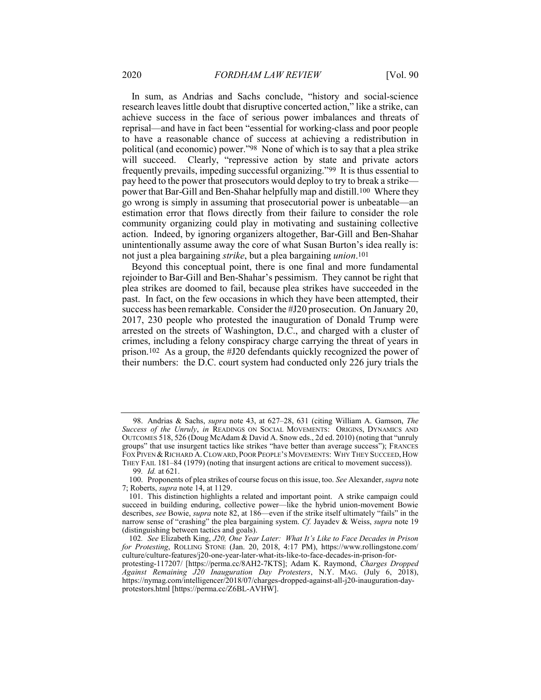In sum, as Andrias and Sachs conclude, "history and social-science research leaves little doubt that disruptive concerted action," like a strike, can achieve success in the face of serious power imbalances and threats of reprisal—and have in fact been "essential for working-class and poor people to have a reasonable chance of success at achieving a redistribution in political (and economic) power."98 None of which is to say that a plea strike will succeed. Clearly, "repressive action by state and private actors frequently prevails, impeding successful organizing."99 It is thus essential to pay heed to the power that prosecutors would deploy to try to break a strike power that Bar-Gill and Ben-Shahar helpfully map and distill.100 Where they go wrong is simply in assuming that prosecutorial power is unbeatable—an estimation error that flows directly from their failure to consider the role community organizing could play in motivating and sustaining collective action. Indeed, by ignoring organizers altogether, Bar-Gill and Ben-Shahar unintentionally assume away the core of what Susan Burton's idea really is: not just a plea bargaining strike, but a plea bargaining union.101

Beyond this conceptual point, there is one final and more fundamental rejoinder to Bar-Gill and Ben-Shahar's pessimism. They cannot be right that plea strikes are doomed to fail, because plea strikes have succeeded in the past. In fact, on the few occasions in which they have been attempted, their success has been remarkable. Consider the #J20 prosecution. On January 20, 2017, 230 people who protested the inauguration of Donald Trump were arrested on the streets of Washington, D.C., and charged with a cluster of crimes, including a felony conspiracy charge carrying the threat of years in prison.102 As a group, the #J20 defendants quickly recognized the power of their numbers: the D.C. court system had conducted only 226 jury trials the

 <sup>98.</sup> Andrias & Sachs, supra note 43, at 627–28, 631 (citing William A. Gamson, The Success of the Unruly, in READINGS ON SOCIAL MOVEMENTS: ORIGINS, DYNAMICS AND OUTCOMES 518, 526 (Doug McAdam & David A. Snow eds., 2d ed. 2010) (noting that "unruly groups" that use insurgent tactics like strikes "have better than average success"); FRANCES FOX PIVEN & RICHARD A. CLOWARD, POOR PEOPLE'S MOVEMENTS: WHY THEY SUCCEED, HOW THEY FAIL 181–84 (1979) (noting that insurgent actions are critical to movement success)).

<sup>99</sup>. Id. at 621.

<sup>100.</sup> Proponents of plea strikes of course focus on this issue, too. See Alexander, supra note 7; Roberts, supra note 14, at 1129.

 <sup>101.</sup> This distinction highlights a related and important point. A strike campaign could succeed in building enduring, collective power—like the hybrid union-movement Bowie describes, see Bowie, supra note 82, at 186—even if the strike itself ultimately "fails" in the narrow sense of "crashing" the plea bargaining system. Cf. Jayadev & Weiss, supra note 19 (distinguishing between tactics and goals).

<sup>102</sup>. See Elizabeth King, J20, One Year Later: What It's Like to Face Decades in Prison for Protesting, ROLLING STONE (Jan. 20, 2018, 4:17 PM), https://www.rollingstone.com/ culture/culture-features/j20-one-year-later-what-its-like-to-face-decades-in-prison-forprotesting-117207/ [https://perma.cc/8AH2-7KTS]; Adam K. Raymond, Charges Dropped Against Remaining J20 Inauguration Day Protesters, N.Y. MAG. (July 6, 2018), https://nymag.com/intelligencer/2018/07/charges-dropped-against-all-j20-inauguration-dayprotestors.html [https://perma.cc/Z6BL-AVHW].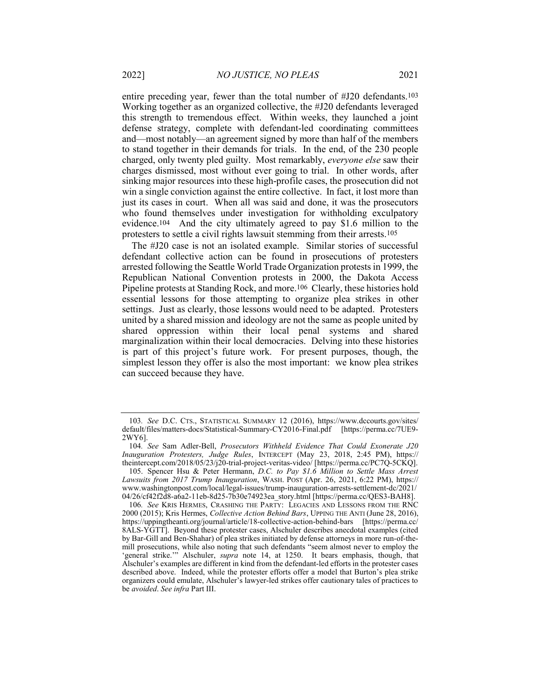entire preceding year, fewer than the total number of #J20 defendants.103 Working together as an organized collective, the #J20 defendants leveraged this strength to tremendous effect. Within weeks, they launched a joint defense strategy, complete with defendant-led coordinating committees and—most notably—an agreement signed by more than half of the members to stand together in their demands for trials. In the end, of the 230 people charged, only twenty pled guilty. Most remarkably, everyone else saw their charges dismissed, most without ever going to trial. In other words, after sinking major resources into these high-profile cases, the prosecution did not win a single conviction against the entire collective. In fact, it lost more than just its cases in court. When all was said and done, it was the prosecutors who found themselves under investigation for withholding exculpatory evidence.104 And the city ultimately agreed to pay \$1.6 million to the protesters to settle a civil rights lawsuit stemming from their arrests.105

The #J20 case is not an isolated example. Similar stories of successful defendant collective action can be found in prosecutions of protesters arrested following the Seattle World Trade Organization protests in 1999, the Republican National Convention protests in 2000, the Dakota Access Pipeline protests at Standing Rock, and more.106 Clearly, these histories hold essential lessons for those attempting to organize plea strikes in other settings. Just as clearly, those lessons would need to be adapted. Protesters united by a shared mission and ideology are not the same as people united by shared oppression within their local penal systems and shared marginalization within their local democracies. Delving into these histories is part of this project's future work. For present purposes, though, the simplest lesson they offer is also the most important: we know plea strikes can succeed because they have.

<sup>103</sup>. See D.C. CTS., STATISTICAL SUMMARY 12 (2016), https://www.dccourts.gov/sites/ default/files/matters-docs/Statistical-Summary-CY2016-Final.pdf [https://perma.cc/7UE9- 2WY6].

<sup>104</sup>. See Sam Adler-Bell, Prosecutors Withheld Evidence That Could Exonerate J20 Inauguration Protesters, Judge Rules, INTERCEPT (May 23, 2018, 2:45 PM), https:// theintercept.com/2018/05/23/j20-trial-project-veritas-video/ [https://perma.cc/PC7Q-5CKQ].

<sup>105.</sup> Spencer Hsu & Peter Hermann, D.C. to Pay \$1.6 Million to Settle Mass Arrest Lawsuits from 2017 Trump Inauguration, WASH. POST (Apr. 26, 2021, 6:22 PM), https:// www.washingtonpost.com/local/legal-issues/trump-inauguration-arrests-settlement-dc/2021/ 04/26/cf42f2d8-a6a2-11eb-8d25-7b30e74923ea\_story.html [https://perma.cc/QES3-BAH8].

<sup>106</sup>. See KRIS HERMES, CRASHING THE PARTY: LEGACIES AND LESSONS FROM THE RNC 2000 (2015); Kris Hermes, Collective Action Behind Bars, UPPING THE ANTI (June 28, 2016), https://uppingtheanti.org/journal/article/18-collective-action-behind-bars [https://perma.cc/ 8ALS-YGTT]. Beyond these protester cases, Alschuler describes anecdotal examples (cited by Bar-Gill and Ben-Shahar) of plea strikes initiated by defense attorneys in more run-of-themill prosecutions, while also noting that such defendants "seem almost never to employ the 'general strike.'" Alschuler, supra note 14, at 1250. It bears emphasis, though, that Alschuler's examples are different in kind from the defendant-led efforts in the protester cases described above. Indeed, while the protester efforts offer a model that Burton's plea strike organizers could emulate, Alschuler's lawyer-led strikes offer cautionary tales of practices to be avoided. See infra Part III.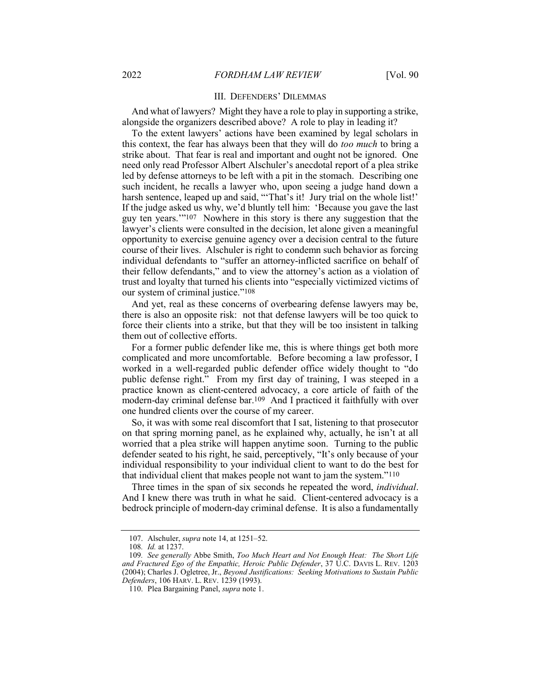#### III. DEFENDERS' DILEMMAS

And what of lawyers? Might they have a role to play in supporting a strike, alongside the organizers described above? A role to play in leading it?

To the extent lawyers' actions have been examined by legal scholars in this context, the fear has always been that they will do *too much* to bring a strike about. That fear is real and important and ought not be ignored. One need only read Professor Albert Alschuler's anecdotal report of a plea strike led by defense attorneys to be left with a pit in the stomach. Describing one such incident, he recalls a lawyer who, upon seeing a judge hand down a harsh sentence, leaped up and said, "That's it! Jury trial on the whole list!' If the judge asked us why, we'd bluntly tell him: 'Because you gave the last guy ten years.'"107 Nowhere in this story is there any suggestion that the lawyer's clients were consulted in the decision, let alone given a meaningful opportunity to exercise genuine agency over a decision central to the future course of their lives. Alschuler is right to condemn such behavior as forcing individual defendants to "suffer an attorney-inflicted sacrifice on behalf of their fellow defendants," and to view the attorney's action as a violation of trust and loyalty that turned his clients into "especially victimized victims of our system of criminal justice."108

And yet, real as these concerns of overbearing defense lawyers may be, there is also an opposite risk: not that defense lawyers will be too quick to force their clients into a strike, but that they will be too insistent in talking them out of collective efforts.

For a former public defender like me, this is where things get both more complicated and more uncomfortable. Before becoming a law professor, I worked in a well-regarded public defender office widely thought to "do public defense right." From my first day of training, I was steeped in a practice known as client-centered advocacy, a core article of faith of the modern-day criminal defense bar.109 And I practiced it faithfully with over one hundred clients over the course of my career.

So, it was with some real discomfort that I sat, listening to that prosecutor on that spring morning panel, as he explained why, actually, he isn't at all worried that a plea strike will happen anytime soon. Turning to the public defender seated to his right, he said, perceptively, "It's only because of your individual responsibility to your individual client to want to do the best for that individual client that makes people not want to jam the system."110

Three times in the span of six seconds he repeated the word, individual. And I knew there was truth in what he said. Client-centered advocacy is a bedrock principle of modern-day criminal defense. It is also a fundamentally

<sup>107.</sup> Alschuler, *supra* note 14, at 1251-52.

<sup>108</sup>. Id. at 1237.

<sup>109</sup>. See generally Abbe Smith, Too Much Heart and Not Enough Heat: The Short Life and Fractured Ego of the Empathic, Heroic Public Defender, 37 U.C. DAVIS L. REV. 1203 (2004); Charles J. Ogletree, Jr., Beyond Justifications: Seeking Motivations to Sustain Public Defenders, 106 HARV. L. REV. 1239 (1993).

 <sup>110.</sup> Plea Bargaining Panel, supra note 1.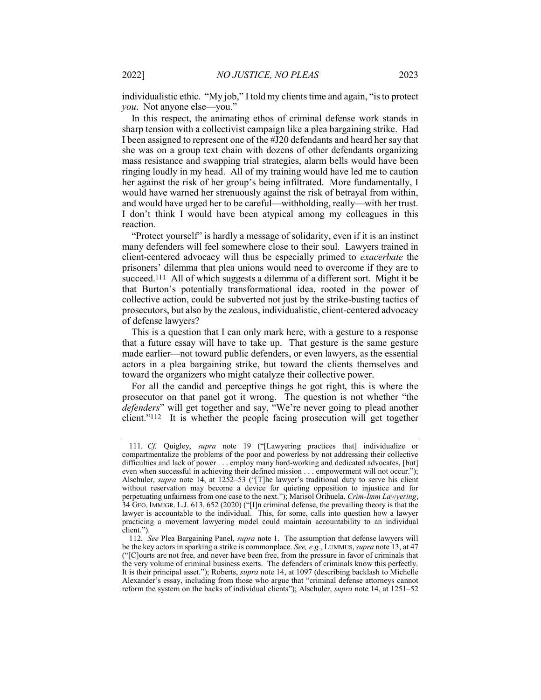individualistic ethic. "My job," I told my clients time and again, "is to protect you. Not anyone else—you."

In this respect, the animating ethos of criminal defense work stands in sharp tension with a collectivist campaign like a plea bargaining strike. Had I been assigned to represent one of the #J20 defendants and heard her say that she was on a group text chain with dozens of other defendants organizing mass resistance and swapping trial strategies, alarm bells would have been ringing loudly in my head. All of my training would have led me to caution her against the risk of her group's being infiltrated. More fundamentally, I would have warned her strenuously against the risk of betrayal from within, and would have urged her to be careful—withholding, really—with her trust. I don't think I would have been atypical among my colleagues in this reaction.

"Protect yourself" is hardly a message of solidarity, even if it is an instinct many defenders will feel somewhere close to their soul. Lawyers trained in client-centered advocacy will thus be especially primed to exacerbate the prisoners' dilemma that plea unions would need to overcome if they are to succeed.111 All of which suggests a dilemma of a different sort. Might it be that Burton's potentially transformational idea, rooted in the power of collective action, could be subverted not just by the strike-busting tactics of prosecutors, but also by the zealous, individualistic, client-centered advocacy of defense lawyers?

This is a question that I can only mark here, with a gesture to a response that a future essay will have to take up. That gesture is the same gesture made earlier—not toward public defenders, or even lawyers, as the essential actors in a plea bargaining strike, but toward the clients themselves and toward the organizers who might catalyze their collective power.

For all the candid and perceptive things he got right, this is where the prosecutor on that panel got it wrong. The question is not whether "the defenders" will get together and say, "We're never going to plead another client."112 It is whether the people facing prosecution will get together

<sup>111</sup>. Cf. Quigley, supra note 19 ("[Lawyering practices that] individualize or compartmentalize the problems of the poor and powerless by not addressing their collective difficulties and lack of power . . . employ many hard-working and dedicated advocates, [but] even when successful in achieving their defined mission . . . empowerment will not occur."); Alschuler, *supra* note 14, at 1252–53 ("[T]he lawyer's traditional duty to serve his client without reservation may become a device for quieting opposition to injustice and for perpetuating unfairness from one case to the next."); Marisol Orihuela, Crim-Imm Lawyering, 34 GEO. IMMIGR. L.J. 613, 652 (2020) ("[I]n criminal defense, the prevailing theory is that the lawyer is accountable to the individual. This, for some, calls into question how a lawyer practicing a movement lawyering model could maintain accountability to an individual client.").

<sup>112.</sup> See Plea Bargaining Panel, supra note 1. The assumption that defense lawyers will be the key actors in sparking a strike is commonplace. See, e.g., LUMMUS, supra note 13, at 47 ("[C]ourts are not free, and never have been free, from the pressure in favor of criminals that the very volume of criminal business exerts. The defenders of criminals know this perfectly. It is their principal asset."); Roberts, supra note 14, at 1097 (describing backlash to Michelle Alexander's essay, including from those who argue that "criminal defense attorneys cannot reform the system on the backs of individual clients"); Alschuler, supra note 14, at 1251–52